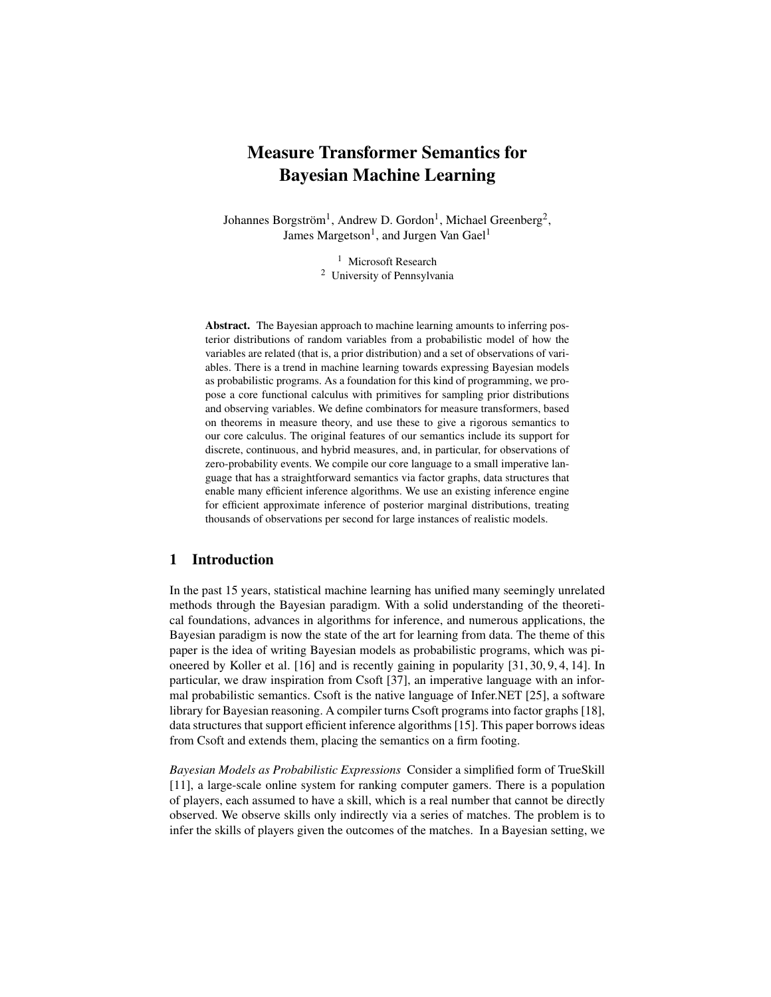# Measure Transformer Semantics for Bayesian Machine Learning

Johannes Borgström<sup>1</sup>, Andrew D. Gordon<sup>1</sup>, Michael Greenberg<sup>2</sup>, James Margetson<sup>1</sup>, and Jurgen Van Gael<sup>1</sup>

> <sup>1</sup> Microsoft Research <sup>2</sup> University of Pennsylvania

Abstract. The Bayesian approach to machine learning amounts to inferring posterior distributions of random variables from a probabilistic model of how the variables are related (that is, a prior distribution) and a set of observations of variables. There is a trend in machine learning towards expressing Bayesian models as probabilistic programs. As a foundation for this kind of programming, we propose a core functional calculus with primitives for sampling prior distributions and observing variables. We define combinators for measure transformers, based on theorems in measure theory, and use these to give a rigorous semantics to our core calculus. The original features of our semantics include its support for discrete, continuous, and hybrid measures, and, in particular, for observations of zero-probability events. We compile our core language to a small imperative language that has a straightforward semantics via factor graphs, data structures that enable many efficient inference algorithms. We use an existing inference engine for efficient approximate inference of posterior marginal distributions, treating thousands of observations per second for large instances of realistic models.

# 1 Introduction

In the past 15 years, statistical machine learning has unified many seemingly unrelated methods through the Bayesian paradigm. With a solid understanding of the theoretical foundations, advances in algorithms for inference, and numerous applications, the Bayesian paradigm is now the state of the art for learning from data. The theme of this paper is the idea of writing Bayesian models as probabilistic programs, which was pioneered by Koller et al. [16] and is recently gaining in popularity [31, 30, 9, 4, 14]. In particular, we draw inspiration from Csoft [37], an imperative language with an informal probabilistic semantics. Csoft is the native language of Infer.NET [25], a software library for Bayesian reasoning. A compiler turns Csoft programs into factor graphs [18], data structures that support efficient inference algorithms [15]. This paper borrows ideas from Csoft and extends them, placing the semantics on a firm footing.

*Bayesian Models as Probabilistic Expressions* Consider a simplified form of TrueSkill [11], a large-scale online system for ranking computer gamers. There is a population of players, each assumed to have a skill, which is a real number that cannot be directly observed. We observe skills only indirectly via a series of matches. The problem is to infer the skills of players given the outcomes of the matches. In a Bayesian setting, we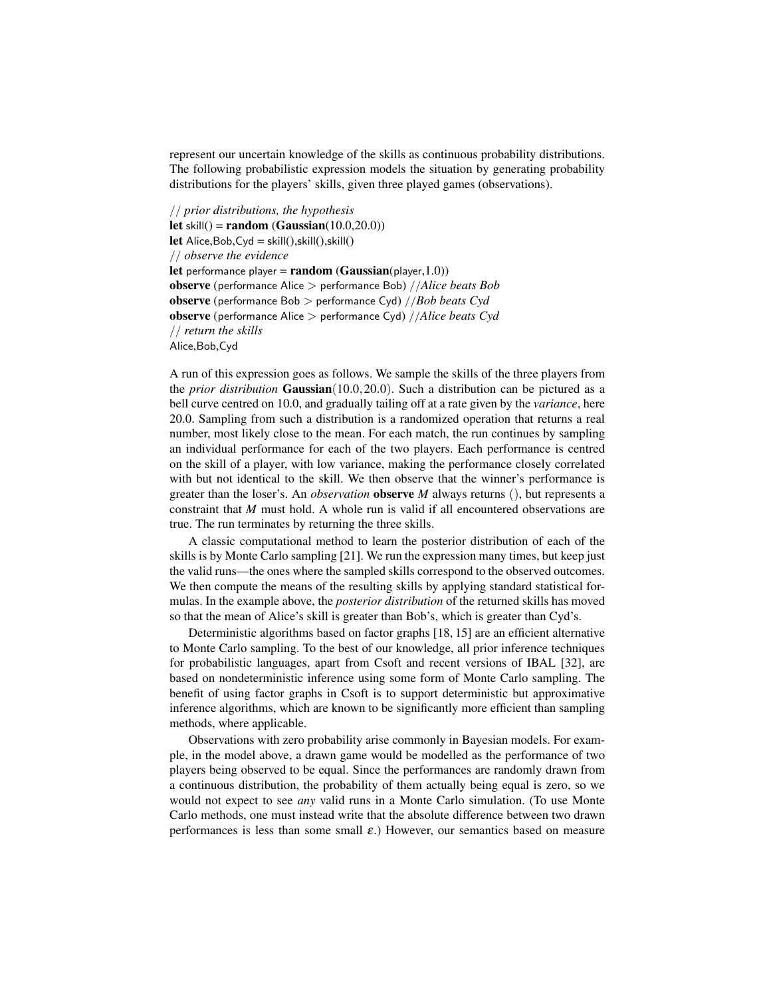represent our uncertain knowledge of the skills as continuous probability distributions. The following probabilistic expression models the situation by generating probability distributions for the players' skills, given three played games (observations).

// *prior distributions, the hypothesis* let skill $()$  = random (Gaussian $(10.0,20.0)$ ) let Alice, Bob, Cyd = skill $(),$ skill $(),$ skill $()$ // *observe the evidence* let performance player =  $\mathbf{random}(\mathbf{Gaussian}(\text{player}, 1.0))$ observe (performance Alice > performance Bob) //*Alice beats Bob* observe (performance Bob > performance Cyd) //*Bob beats Cyd* observe (performance Alice > performance Cyd) //*Alice beats Cyd* // *return the skills* Alice,Bob,Cyd

A run of this expression goes as follows. We sample the skills of the three players from the *prior distribution* Gaussian(10.0,20.0). Such a distribution can be pictured as a bell curve centred on 10.0, and gradually tailing off at a rate given by the *variance*, here 20.0. Sampling from such a distribution is a randomized operation that returns a real number, most likely close to the mean. For each match, the run continues by sampling an individual performance for each of the two players. Each performance is centred on the skill of a player, with low variance, making the performance closely correlated with but not identical to the skill. We then observe that the winner's performance is greater than the loser's. An *observation* observe *M* always returns (), but represents a constraint that *M* must hold. A whole run is valid if all encountered observations are true. The run terminates by returning the three skills.

A classic computational method to learn the posterior distribution of each of the skills is by Monte Carlo sampling [21]. We run the expression many times, but keep just the valid runs—the ones where the sampled skills correspond to the observed outcomes. We then compute the means of the resulting skills by applying standard statistical formulas. In the example above, the *posterior distribution* of the returned skills has moved so that the mean of Alice's skill is greater than Bob's, which is greater than Cyd's.

Deterministic algorithms based on factor graphs [18, 15] are an efficient alternative to Monte Carlo sampling. To the best of our knowledge, all prior inference techniques for probabilistic languages, apart from Csoft and recent versions of IBAL [32], are based on nondeterministic inference using some form of Monte Carlo sampling. The benefit of using factor graphs in Csoft is to support deterministic but approximative inference algorithms, which are known to be significantly more efficient than sampling methods, where applicable.

Observations with zero probability arise commonly in Bayesian models. For example, in the model above, a drawn game would be modelled as the performance of two players being observed to be equal. Since the performances are randomly drawn from a continuous distribution, the probability of them actually being equal is zero, so we would not expect to see *any* valid runs in a Monte Carlo simulation. (To use Monte Carlo methods, one must instead write that the absolute difference between two drawn performances is less than some small  $\varepsilon$ .) However, our semantics based on measure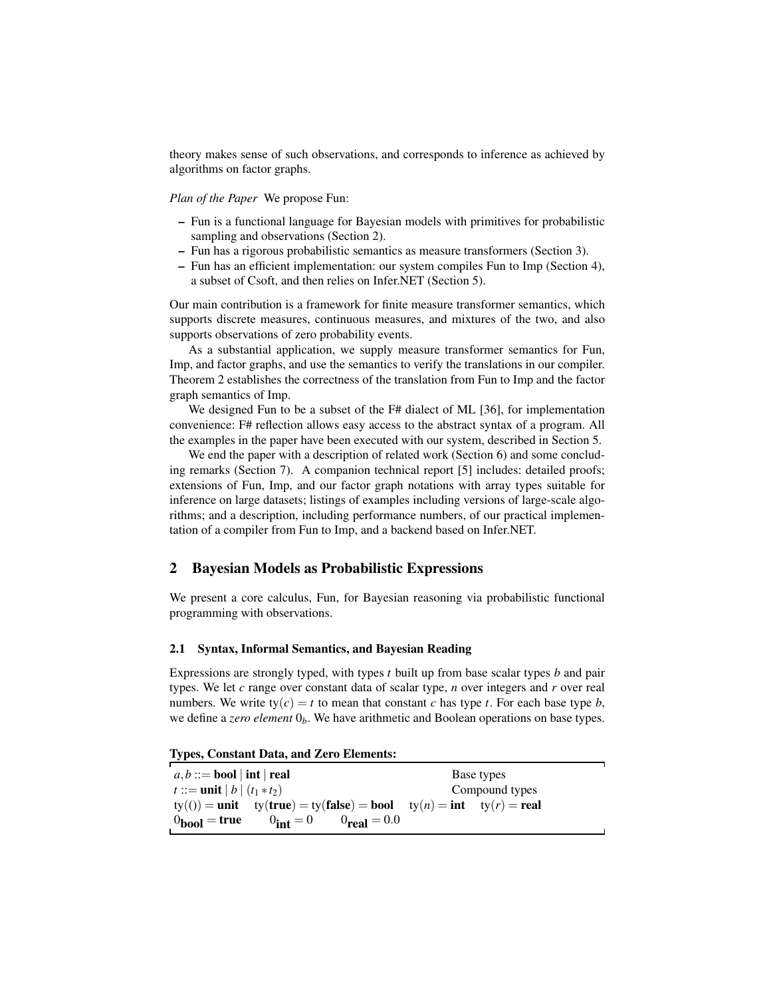theory makes sense of such observations, and corresponds to inference as achieved by algorithms on factor graphs.

*Plan of the Paper* We propose Fun:

- Fun is a functional language for Bayesian models with primitives for probabilistic sampling and observations (Section 2).
- Fun has a rigorous probabilistic semantics as measure transformers (Section 3).
- Fun has an efficient implementation: our system compiles Fun to Imp (Section 4), a subset of Csoft, and then relies on Infer.NET (Section 5).

Our main contribution is a framework for finite measure transformer semantics, which supports discrete measures, continuous measures, and mixtures of the two, and also supports observations of zero probability events.

As a substantial application, we supply measure transformer semantics for Fun, Imp, and factor graphs, and use the semantics to verify the translations in our compiler. Theorem 2 establishes the correctness of the translation from Fun to Imp and the factor graph semantics of Imp.

We designed Fun to be a subset of the F# dialect of ML [36], for implementation convenience: F# reflection allows easy access to the abstract syntax of a program. All the examples in the paper have been executed with our system, described in Section 5.

We end the paper with a description of related work (Section 6) and some concluding remarks (Section 7). A companion technical report [5] includes: detailed proofs; extensions of Fun, Imp, and our factor graph notations with array types suitable for inference on large datasets; listings of examples including versions of large-scale algorithms; and a description, including performance numbers, of our practical implementation of a compiler from Fun to Imp, and a backend based on Infer.NET.

# 2 Bayesian Models as Probabilistic Expressions

We present a core calculus, Fun, for Bayesian reasoning via probabilistic functional programming with observations.

# 2.1 Syntax, Informal Semantics, and Bayesian Reading

Expressions are strongly typed, with types *t* built up from base scalar types *b* and pair types. We let *c* range over constant data of scalar type, *n* over integers and *r* over real numbers. We write  $ty(c) = t$  to mean that constant *c* has type *t*. For each base type *b*, we define a *zero element* 0*b*. We have arithmetic and Boolean operations on base types.

Types, Constant Data, and Zero Elements:

| $a, b ::=$ bool   int   real                                                    | Base types     |
|---------------------------------------------------------------------------------|----------------|
| $t ::= \text{unit}   b   (t_1 * t_2)$                                           | Compound types |
| $ty(0) = unit$ $ty(true) = ty(false) = bool$ $ty(n) = int$ $ty(r) = real$       |                |
| $0_{\rm int} = 0$<br>$0_{\text{bool}} = \text{true}$<br>$0_{\text{real}} = 0.0$ |                |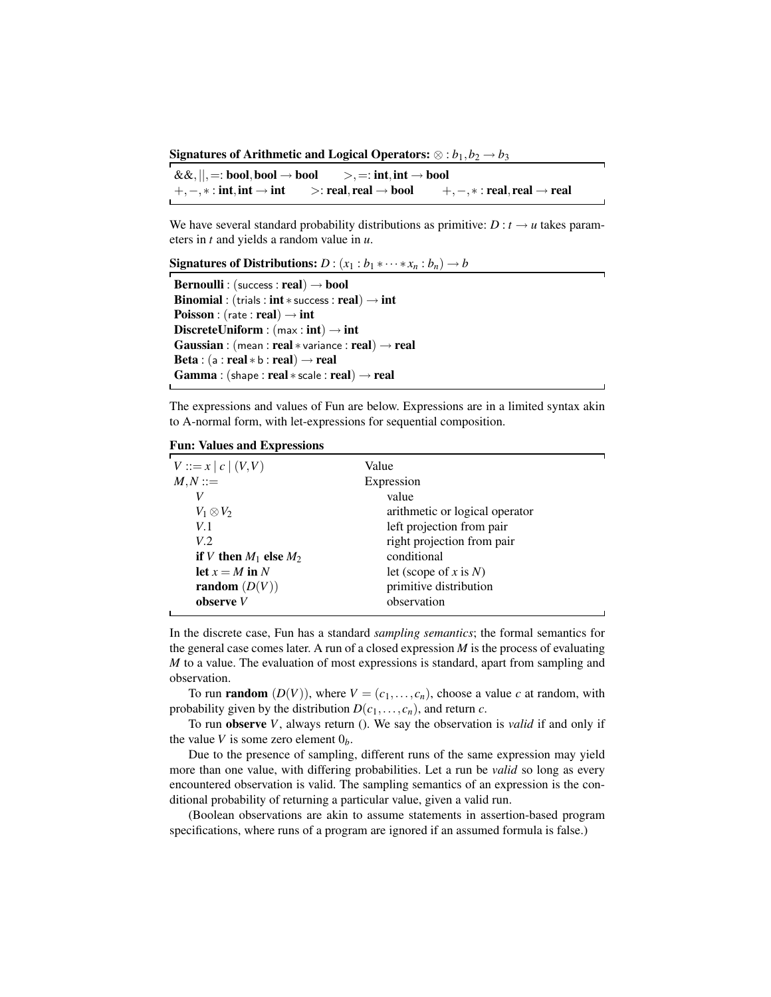Signatures of Arithmetic and Logical Operators:  $\otimes : b_1, b_2 \rightarrow b_3$ 

&&,||,=: bool,bool → bool >,=: int,int → bool  $+, -, * : \text{int}, \text{int} \rightarrow \text{int}$  >: real, real  $\rightarrow \text{bool}$  +, -, \*: real, real  $\rightarrow$  real

We have several standard probability distributions as primitive:  $D: t \rightarrow u$  takes parameters in *t* and yields a random value in *u*.

Signatures of Distributions:  $D : (x_1 : b_1 * \cdots * x_n : b_n) \rightarrow b$ 

```
Bernoulli : (success : real) \rightarrow bool
Binomial : (trials : int * success : real) \rightarrow int
Poisson : (rate : real) \rightarrow int
DiscreteUniform : (max:int) \rightarrow intGaussian : (mean : real * variance : real) \rightarrow real
Beta : (a : real * b : real) \rightarrow realGamma : (shape : real * scale : real) \rightarrow real
```
The expressions and values of Fun are below. Expressions are in a limited syntax akin to A-normal form, with let-expressions for sequential composition.

Fun: Values and Expressions

| $V ::= x   c   (V, V)$     | Value                          |  |
|----------------------------|--------------------------------|--|
| $M,N ::=$                  | Expression                     |  |
| V                          | value                          |  |
| $V_1\otimes V_2$           | arithmetic or logical operator |  |
| V.1                        | left projection from pair      |  |
| V.2                        | right projection from pair     |  |
| if V then $M_1$ else $M_2$ | conditional                    |  |
| let $x = M$ in N           | let (scope of x is $N$ )       |  |
| random $(D(V))$            | primitive distribution         |  |
| observe $V$                | observation                    |  |
|                            |                                |  |

In the discrete case, Fun has a standard *sampling semantics*; the formal semantics for the general case comes later. A run of a closed expression *M* is the process of evaluating *M* to a value. The evaluation of most expressions is standard, apart from sampling and observation.

To run **random**  $(D(V))$ , where  $V = (c_1, \ldots, c_n)$ , choose a value *c* at random, with probability given by the distribution  $D(c_1, \ldots, c_n)$ , and return *c*.

To run observe *V*, always return (). We say the observation is *valid* if and only if the value *V* is some zero element  $0<sub>b</sub>$ .

Due to the presence of sampling, different runs of the same expression may yield more than one value, with differing probabilities. Let a run be *valid* so long as every encountered observation is valid. The sampling semantics of an expression is the conditional probability of returning a particular value, given a valid run.

(Boolean observations are akin to assume statements in assertion-based program specifications, where runs of a program are ignored if an assumed formula is false.)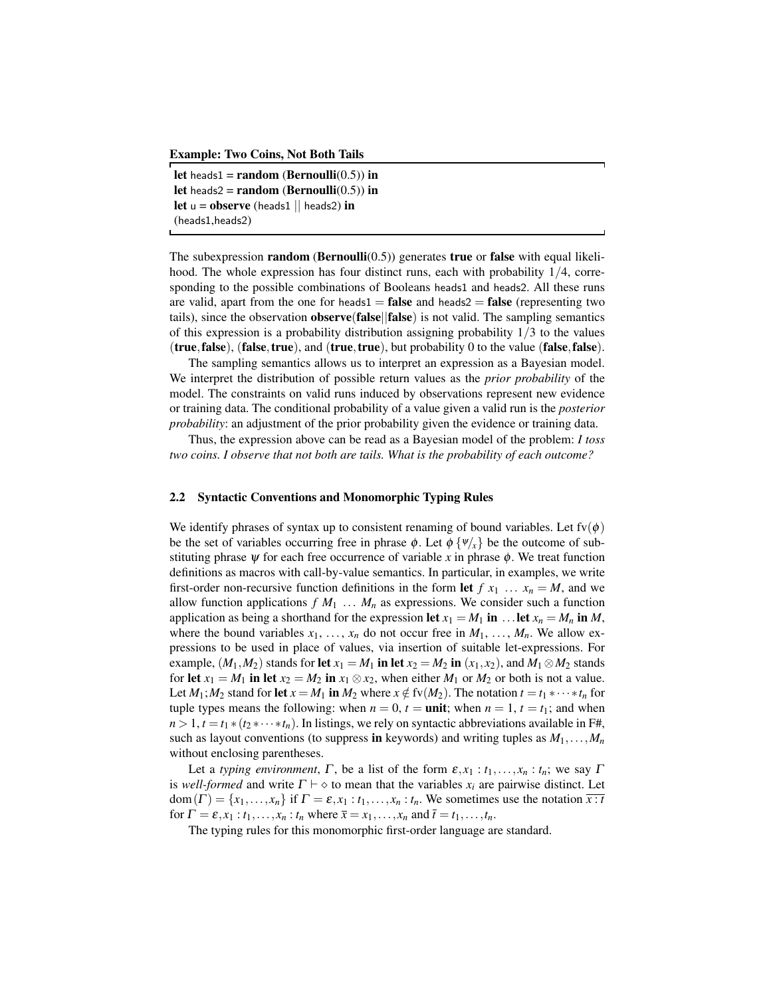Example: Two Coins, Not Both Tails

let heads1 = random (Bernoulli $(0.5)$ ) in let heads2 = random (Bernoulli $(0.5)$ ) in let  $u =$ **observe** (heads1 || heads2) in (heads1,heads2)

The subexpression random (Bernoulli $(0.5)$ ) generates true or false with equal likelihood. The whole expression has four distinct runs, each with probability 1/4, corresponding to the possible combinations of Booleans heads1 and heads2. All these runs are valid, apart from the one for heads1 = **false** and heads2 = **false** (representing two tails), since the observation observe(false||false) is not valid. The sampling semantics of this expression is a probability distribution assigning probability  $1/3$  to the values (true,false), (false,true), and (true,true), but probability 0 to the value (false,false).

The sampling semantics allows us to interpret an expression as a Bayesian model. We interpret the distribution of possible return values as the *prior probability* of the model. The constraints on valid runs induced by observations represent new evidence or training data. The conditional probability of a value given a valid run is the *posterior probability*: an adjustment of the prior probability given the evidence or training data.

Thus, the expression above can be read as a Bayesian model of the problem: *I toss two coins. I observe that not both are tails. What is the probability of each outcome?*

#### 2.2 Syntactic Conventions and Monomorphic Typing Rules

We identify phrases of syntax up to consistent renaming of bound variables. Let  $f(v(\phi))$ be the set of variables occurring free in phrase  $\phi$ . Let  $\phi \{ \Psi_{\alpha} \}$  be the outcome of substituting phrase  $\psi$  for each free occurrence of variable x in phrase  $\phi$ . We treat function definitions as macros with call-by-value semantics. In particular, in examples, we write first-order non-recursive function definitions in the form let  $f x_1 ... x_n = M$ , and we allow function applications  $f M_1 ... M_n$  as expressions. We consider such a function application as being a shorthand for the expression let  $x_1 = M_1$  in ... let  $x_n = M_n$  in *M*, where the bound variables  $x_1, \ldots, x_n$  do not occur free in  $M_1, \ldots, M_n$ . We allow expressions to be used in place of values, via insertion of suitable let-expressions. For example,  $(M_1, M_2)$  stands for let  $x_1 = M_1$  in let  $x_2 = M_2$  in  $(x_1, x_2)$ , and  $M_1 \otimes M_2$  stands for let  $x_1 = M_1$  in let  $x_2 = M_2$  in  $x_1 \otimes x_2$ , when either  $M_1$  or  $M_2$  or both is not a value. Let  $M_1$ ;  $M_2$  stand for let  $x = M_1$  in  $M_2$  where  $x \notin f_v(M_2)$ . The notation  $t = t_1 * \cdots * t_n$  for tuple types means the following: when  $n = 0$ ,  $t = \text{unit}$ ; when  $n = 1$ ,  $t = t_1$ ; and when  $n > 1$ ,  $t = t_1 * (t_2 * \cdots * t_n)$ . In listings, we rely on syntactic abbreviations available in F#, such as layout conventions (to suppress in keywords) and writing tuples as  $M_1, \ldots, M_n$ without enclosing parentheses.

Let a *typing environment*,  $\Gamma$ , be a list of the form  $\varepsilon$ ,  $x_1 : t_1, \ldots, x_n : t_n$ ; we say  $\Gamma$ is *well-formed* and write  $\Gamma \vdash \diamond$  to mean that the variables  $x_i$  are pairwise distinct. Let  $dom(\Gamma) = \{x_1, \ldots, x_n\}$  if  $\Gamma = \varepsilon, x_1 : t_1, \ldots, x_n : t_n$ . We sometimes use the notation  $\overline{x : t}$ for  $\Gamma = \varepsilon, x_1 : t_1, \ldots, x_n : t_n$  where  $\overline{x} = x_1, \ldots, x_n$  and  $\overline{t} = t_1, \ldots, t_n$ .

The typing rules for this monomorphic first-order language are standard.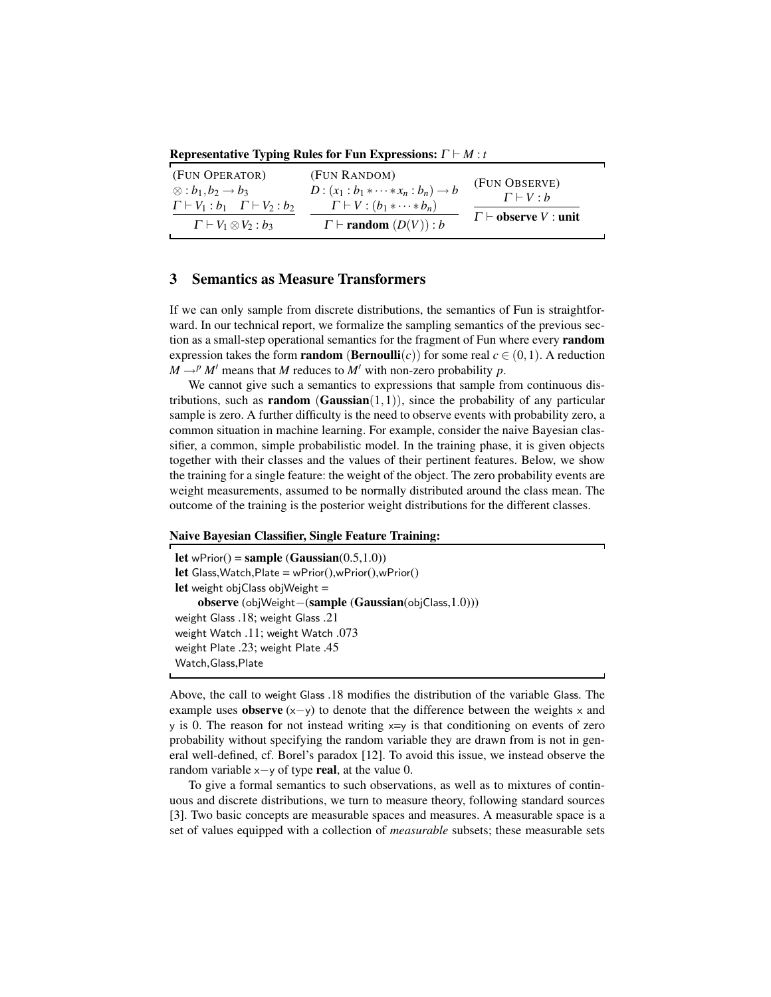Representative Typing Rules for Fun Expressions:  $\Gamma \vdash M : t$ 

| (FUN OPERATOR)<br>$\otimes$ : $b_1, b_2 \rightarrow b_3$ | (FUN RANDOM)<br>$D: (x_1 : b_1 * \cdots * x_n : b_n) \to b$ | (FUN OBSERVE)                    |
|----------------------------------------------------------|-------------------------------------------------------------|----------------------------------|
| $\Gamma \vdash V_1 : b_1 \quad \Gamma \vdash V_2 : b_2$  | $\Gamma\vdash V:(b_1*\cdots*b_n)$                           | $\Gamma \vdash V : b$            |
| $\Gamma \vdash V_1 \otimes V_2 : b_3$                    | $\Gamma \vdash \textbf{random}(D(V)) : b$                   | $\Gamma \vdash$ observe V : unit |

# 3 Semantics as Measure Transformers

If we can only sample from discrete distributions, the semantics of Fun is straightforward. In our technical report, we formalize the sampling semantics of the previous section as a small-step operational semantics for the fragment of Fun where every random expression takes the form **random** (**Bernoulli**(*c*)) for some real  $c \in (0,1)$ . A reduction  $M \rightarrow P M'$  means that *M* reduces to *M'* with non-zero probability *p*.

We cannot give such a semantics to expressions that sample from continuous distributions, such as **random** (**Gaussian** $(1,1)$ ), since the probability of any particular sample is zero. A further difficulty is the need to observe events with probability zero, a common situation in machine learning. For example, consider the naive Bayesian classifier, a common, simple probabilistic model. In the training phase, it is given objects together with their classes and the values of their pertinent features. Below, we show the training for a single feature: the weight of the object. The zero probability events are weight measurements, assumed to be normally distributed around the class mean. The outcome of the training is the posterior weight distributions for the different classes.

#### Naive Bayesian Classifier, Single Feature Training:

```
let wPrior() = sample (Gaussian(0.5,1.0))
let Glass,Watch,Plate = wPrior(),wPrior(),wPrior()
let weight objClass objWeight =observe (objWeight−(sample (Gaussian(objClass,1.0)))
weight Glass .18; weight Glass .21
weight Watch .11; weight Watch .073
weight Plate .23; weight Plate .45
Watch,Glass,Plate
```
Above, the call to weight Glass .18 modifies the distribution of the variable Glass. The example uses **observe**  $(x-y)$  to denote that the difference between the weights x and  $\gamma$  is 0. The reason for not instead writing  $x=y$  is that conditioning on events of zero probability without specifying the random variable they are drawn from is not in general well-defined, cf. Borel's paradox [12]. To avoid this issue, we instead observe the random variable  $x-y$  of type real, at the value 0.

To give a formal semantics to such observations, as well as to mixtures of continuous and discrete distributions, we turn to measure theory, following standard sources [3]. Two basic concepts are measurable spaces and measures. A measurable space is a set of values equipped with a collection of *measurable* subsets; these measurable sets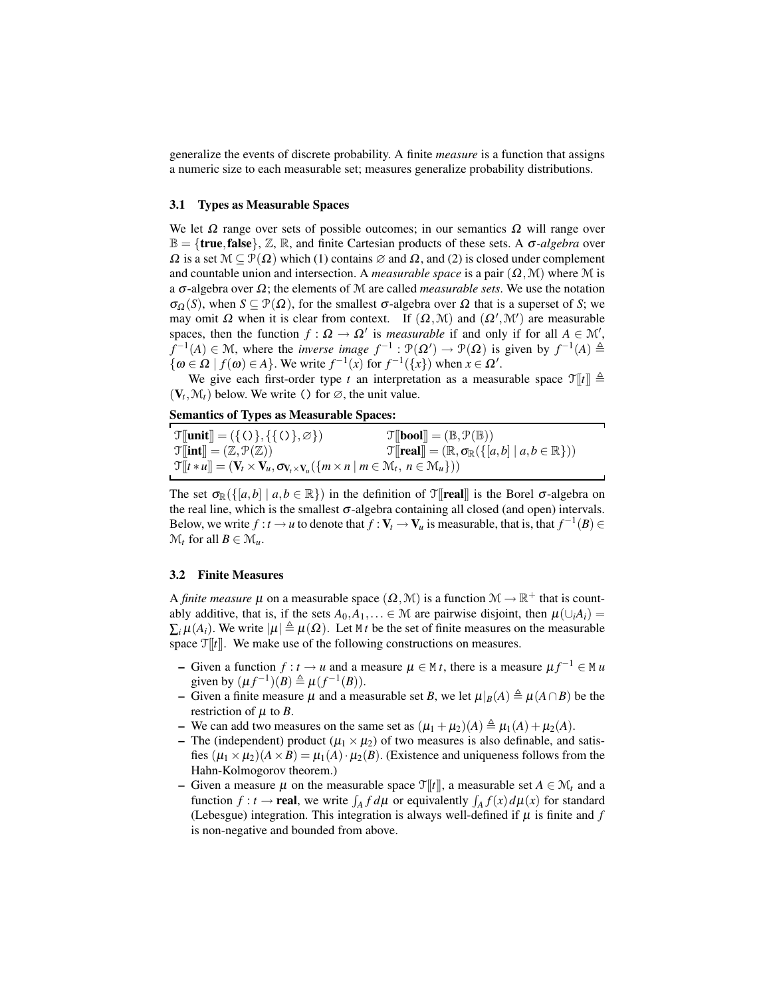generalize the events of discrete probability. A finite *measure* is a function that assigns a numeric size to each measurable set; measures generalize probability distributions.

#### 3.1 Types as Measurable Spaces

We let  $\Omega$  range over sets of possible outcomes; in our semantics  $\Omega$  will range over  $\mathbb{B} = \{$ **true, false** $\}$ ,  $\mathbb{Z}$ ,  $\mathbb{R}$ , and finite Cartesian products of these sets. A  $\sigma$ -*algebra* over  $\Omega$  is a set  $\mathcal{M} \subset \mathcal{P}(\Omega)$  which (1) contains  $\varnothing$  and  $\Omega$ , and (2) is closed under complement and countable union and intersection. A *measurable space* is a pair  $(\Omega, \mathcal{M})$  where M is a σ-algebra over Ω; the elements of M are called *measurable sets*. We use the notation  $\sigma_{\Omega}(S)$ , when  $S \subseteq \mathcal{P}(\Omega)$ , for the smallest  $\sigma$ -algebra over  $\Omega$  that is a superset of *S*; we may omit  $\Omega$  when it is clear from context. If  $(\Omega, \mathcal{M})$  and  $(\Omega', \mathcal{M}')$  are measurable spaces, then the function  $f : \Omega \to \Omega'$  is *measurable* if and only if for all  $A \in \mathcal{M}'$ ,  $f^{-1}(A) \in \mathcal{M}$ , where the *inverse image*  $f^{-1} : \mathcal{P}(\Omega') \to \mathcal{P}(\Omega)$  is given by  $f^{-1}(A) \triangleq$  $\{\omega \in \Omega \mid f(\omega) \in A\}$ . We write  $f^{-1}(x)$  for  $f^{-1}(\lbrace x \rbrace)$  when  $x \in \Omega'$ .

We give each first-order type *t* an interpretation as a measurable space  $\mathcal{T}[[t]] \triangleq$  $(V_t, \mathcal{M}_t)$  below. We write () for  $\varnothing$ , the unit value.

Semantics of Types as Measurable Spaces:

| $\mathcal{T}$ [[unit]] = ({()}, {{()}, $\varnothing$ })                                                                                                              | $\mathcal{T}[\mathbf{bool}] = (\mathbb{B}, \mathcal{P}(\mathbb{B}))$                               |
|----------------------------------------------------------------------------------------------------------------------------------------------------------------------|----------------------------------------------------------------------------------------------------|
| $\mathfrak{T}$ [int] = $(\mathbb{Z}, \mathcal{P}(\mathbb{Z}))$                                                                                                       | $\mathcal{T}[[\text{real}]]= (\mathbb{R}, \sigma_{\mathbb{R}}(\{ a,b  \mid a,b \in \mathbb{R}\}))$ |
| $\mathcal{T}[[t * u]] = (\mathbf{V}_t \times \mathbf{V}_u, \sigma_{\mathbf{V}_t \times \mathbf{V}_u}(\{m \times n \mid m \in \mathcal{M}_t, n \in \mathcal{M}_u\}))$ |                                                                                                    |

The set  $\sigma_{\mathbb{R}}(\{[a,b] \mid a,b \in \mathbb{R}\})$  in the definition of  $\mathcal{T}[\text{real}]$  is the Borel  $\sigma$ -algebra on the real line, which is the smallest  $\sigma$ -algebra containing all closed (and open) intervals. Below, we write  $f : t \to u$  to denote that  $f : V_t \to V_u$  is measurable, that is, that  $f^{-1}(B) \in$  $\mathcal{M}_t$  for all  $B \in \mathcal{M}_u$ .

#### 3.2 Finite Measures

A *finite measure*  $\mu$  on a measurable space  $(\Omega, \mathcal{M})$  is a function  $\mathcal{M} \to \mathbb{R}^+$  that is countably additive, that is, if the sets  $A_0, A_1, \ldots \in \mathcal{M}$  are pairwise disjoint, then  $\mu(\cup_i A_i) =$  $\sum_i \mu(A_i)$ . We write  $|\mu| \triangleq \mu(\Omega)$ . Let M *t* be the set of finite measures on the measurable space  $\mathcal{T}[[t]]$ . We make use of the following constructions on measures.

- − Given a function  $f: t \to u$  and a measure  $\mu \in M$  *t*, there is a measure  $\mu f^{-1} \in M$  *u* given by  $(\mu f^{-1})(B) \triangleq \mu(f^{-1}(B)).$
- Given a finite measure  $\mu$  and a measurable set *B*, we let  $\mu|_B(A) \triangleq \mu(A \cap B)$  be the restriction of  $\mu$  to *B*.
- We can add two measures on the same set as  $(\mu_1 + \mu_2)(A) \triangleq \mu_1(A) + \mu_2(A)$ .
- The (independent) product ( $\mu_1 \times \mu_2$ ) of two measures is also definable, and satisfies  $(\mu_1 \times \mu_2)(A \times B) = \mu_1(A) \cdot \mu_2(B)$ . (Existence and uniqueness follows from the Hahn-Kolmogorov theorem.)
- Given a measure  $\mu$  on the measurable space  $\mathcal{T}[t]$ , a measurable set  $A \in \mathcal{M}_t$  and a function  $f: t \to \text{real}$ , we write  $\int_A f d\mu$  or equivalently  $\int_A f(x) d\mu(x)$  for standard (Lebesgue) integration. This integration is always well-defined if  $\mu$  is finite and  $f$ is non-negative and bounded from above.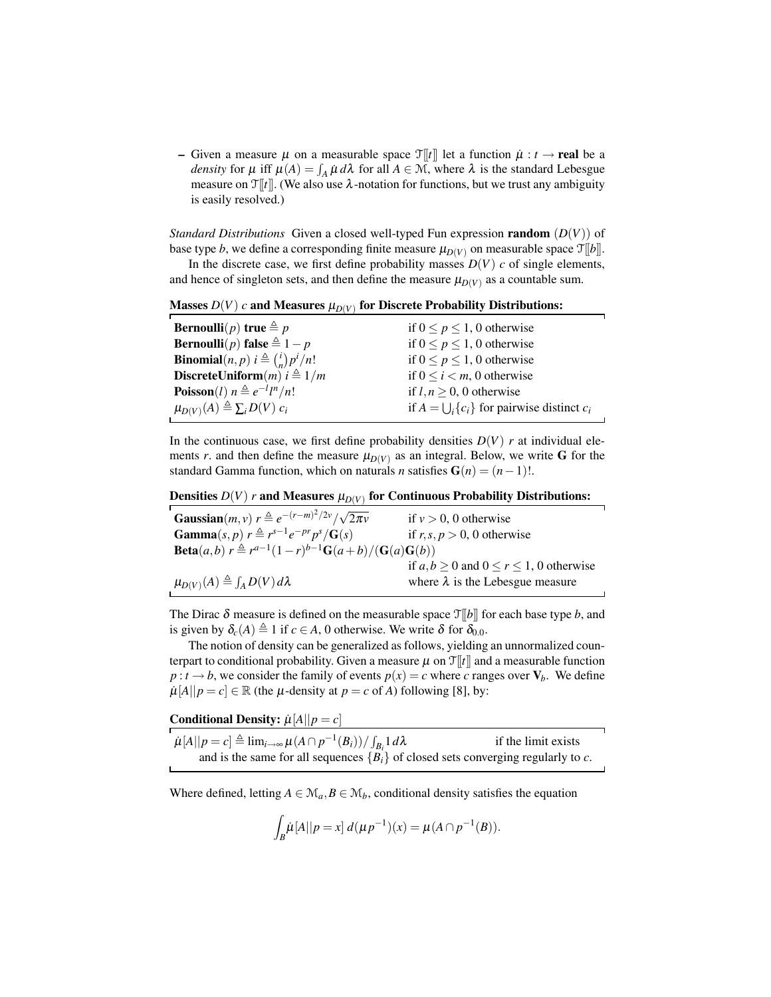– Given a measure  $\mu$  on a measurable space  $\mathcal{T}[[t]]$  let a function  $\mu : t \to \text{real}$  be a *density* for  $\mu$  iff  $\mu(A) = \int_A \mu \, d\lambda$  for all  $A \in \mathcal{M}$ , where  $\lambda$  is the standard Lebesgue measure on  $\mathcal{T}[[t]]$ . (We also use  $\lambda$ -notation for functions, but we trust any ambiguity is easily resolved.)

*Standard Distributions* Given a closed well-typed Fun expression random (*D*(*V*)) of base type *b*, we define a corresponding finite measure  $\mu_{D(V)}$  on measurable space  $\mathcal{T}[[b]]$ .

In the discrete case, we first define probability masses  $D(V)$  *c* of single elements, and hence of singleton sets, and then define the measure  $\mu_{D(V)}$  as a countable sum.

Masses  $D(V)$   $c$  and Measures  $\mu_{D(V)}$  for Discrete Probability Distributions:

| <b>Bernoulli</b> ( <i>p</i> ) true $\triangleq p$              | if $0 \le p \le 1$ , 0 otherwise                       |
|----------------------------------------------------------------|--------------------------------------------------------|
| <b>Bernoulli</b> (p) <b>false</b> $\triangleq 1 - p$           | if $0 \le p \le 1$ , 0 otherwise                       |
| <b>Binomial</b> $(n, p)$ $i \triangleq {i \choose n} p^i / n!$ | if $0 \le p \le 1$ , 0 otherwise                       |
| DiscreteUniform $(m)$ $i \triangleq 1/m$                       | if $0 \le i < m$ , 0 otherwise                         |
| <b>Poisson</b> ( <i>l</i> ) $n \triangleq e^{-l} l^{n}/n!$     | if $l, n \geq 0$ , 0 otherwise                         |
| $\mu_{D(V)}(A) \triangleq \sum_i D(V) c_i$                     | if $A = \bigcup_i \{c_i\}$ for pairwise distinct $c_i$ |

In the continuous case, we first define probability densities  $D(V)$  *r* at individual elements *r*. and then define the measure  $\mu_{D(V)}$  as an integral. Below, we write G for the standard Gamma function, which on naturals *n* satisfies  $G(n) = (n-1)!$ .

# Densities  $D(V)$   $r$  and Measures  $\mu_{D(V)}$  for Continuous Probability Distributions:

| <b>Gaussian</b> ( <i>m</i> , <i>v</i> ) $r \triangleq e^{-(r-m)^2/2\nu}/\sqrt{2\pi\nu}$                            | if $v > 0$ , 0 otherwise                          |
|--------------------------------------------------------------------------------------------------------------------|---------------------------------------------------|
| <b>Gamma</b> $(s, p)$ $r \triangleq r^{s-1} e^{-pr} p^{s}/\mathbf{G}(s)$                                           | if $r, s, p > 0$ , 0 otherwise                    |
| <b>Beta</b> ( <i>a</i> , <i>b</i> ) $r \triangleq r^{a-1}(1-r)^{b-1}\mathbf{G}(a+b)/( \mathbf{G}(a)\mathbf{G}(b))$ |                                                   |
|                                                                                                                    | if $a, b \ge 0$ and $0 \le r \le 1$ , 0 otherwise |
| $\mu_{D(V)}(A) \triangleq \int_A D(V) d\lambda$                                                                    | where $\lambda$ is the Lebesgue measure           |

The Dirac  $\delta$  measure is defined on the measurable space  $\mathcal{T}[[b]]$  for each base type *b*, and is given by  $\delta_c(A) \triangleq 1$  if  $c \in A$ , 0 otherwise. We write  $\delta$  for  $\delta_{0.0}$ .

The notion of density can be generalized as follows, yielding an unnormalized counterpart to conditional probability. Given a measure  $\mu$  on  $\mathcal{T}[t]$  and a measurable function  $p: t \to b$ , we consider the family of events  $p(x) = c$  where *c* ranges over  $V_b$ . We define  $\mu[A||p = c] \in \mathbb{R}$  (the  $\mu$ -density at  $p = c$  of *A*) following [8], by:

Conditional Density:  $\mu[A||p = c]$ 

| $\mu[A  p=c] \triangleq \lim_{i\to\infty} \mu(A\cap p^{-1}(B_i))/\int_{B_i} 1 d\lambda$ | if the limit exists |
|-----------------------------------------------------------------------------------------|---------------------|
| and is the same for all sequences ${B_i}$ of closed sets converging regularly to c.     |                     |

Where defined, letting  $A \in \mathcal{M}_a$ ,  $B \in \mathcal{M}_b$ , conditional density satisfies the equation

$$
\int_B \mu[A||p = x] d(\mu p^{-1})(x) = \mu(A \cap p^{-1}(B)).
$$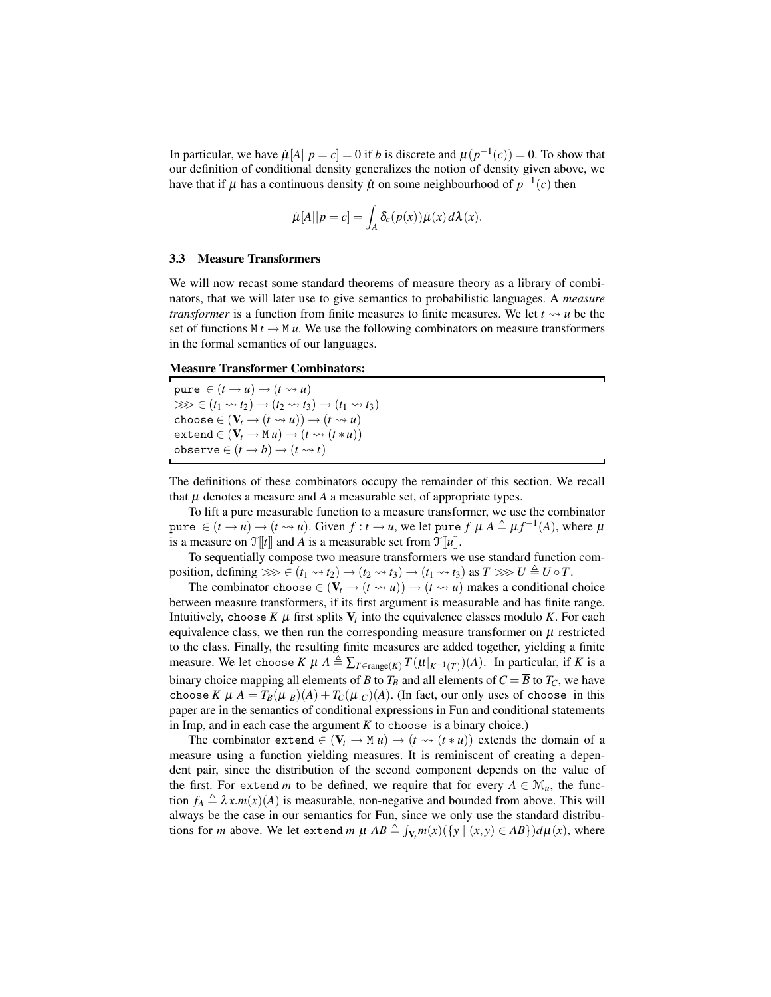In particular, we have  $\mu[A||p=c] = 0$  if *b* is discrete and  $\mu(p^{-1}(c)) = 0$ . To show that our definition of conditional density generalizes the notion of density given above, we have that if  $\mu$  has a continuous density  $\dot{\mu}$  on some neighbourhood of  $p^{-1}(c)$  then

$$
\dot{\mu}[A||p=c] = \int_A \delta_c(p(x))\dot{\mu}(x) d\lambda(x).
$$

#### 3.3 Measure Transformers

We will now recast some standard theorems of measure theory as a library of combinators, that we will later use to give semantics to probabilistic languages. A *measure transformer* is a function from finite measures to finite measures. We let  $t \sim u$  be the set of functions  $M t \to M u$ . We use the following combinators on measure transformers in the formal semantics of our languages.

Measure Transformer Combinators:

 $pure \in (t \rightarrow u) \rightarrow (t \rightsquigarrow u)$  $\gg$   $\geq$   $(t_1 \rightsquigarrow t_2) \rightarrow (t_2 \rightsquigarrow t_3) \rightarrow (t_1 \rightsquigarrow t_3)$ choose  $\in$   $(V_t \rightarrow (t \leadsto u)) \rightarrow (t \leadsto u)$  $ext{end} \in (\mathbf{V}_t \to \mathbf{M} \, u) \to (t \leadsto (t * u))$  $\text{observe} \in (t \rightarrow b) \rightarrow (t \rightsquigarrow t)$ 

The definitions of these combinators occupy the remainder of this section. We recall that  $\mu$  denotes a measure and  $A$  a measurable set, of appropriate types.

To lift a pure measurable function to a measure transformer, we use the combinator  $\varphi$  pure  $\in (t \to u) \to (t \leadsto u)$ . Given  $f : t \to u$ , we let pure  $f \mu A \triangleq \mu f^{-1}(A)$ , where  $\mu$ is a measure on  $\mathcal{T}[[t]]$  and *A* is a measurable set from  $\mathcal{T}[[u]]$ .

To sequentially compose two measure transformers we use standard function composition, defining  $\ggg \in (t_1 \rightsquigarrow t_2) \rightarrow (t_2 \rightsquigarrow t_3) \rightarrow (t_1 \rightsquigarrow t_3)$  as  $T \ggg U \triangleq U \circ T$ .

The combinator choose  $\in (V_t \rightarrow (t \rightsquigarrow u)) \rightarrow (t \rightsquigarrow u)$  makes a conditional choice between measure transformers, if its first argument is measurable and has finite range. Intuitively, choose  $K \mu$  first splits  $V_t$  into the equivalence classes modulo  $K$ . For each equivalence class, we then run the corresponding measure transformer on  $\mu$  restricted to the class. Finally, the resulting finite measures are added together, yielding a finite measure. We let choose  $K \mu A \triangleq \sum_{T \in \text{range}(K)} T(\mu|_{K^{-1}(T)})(A)$ . In particular, if *K* is a binary choice mapping all elements of *B* to  $T_B$  and all elements of  $C = \overline{B}$  to  $T_C$ , we have choose *K*  $\mu$  *A* =  $T_B(\mu|_B)(A) + T_C(\mu|_C)(A)$ . (In fact, our only uses of choose in this paper are in the semantics of conditional expressions in Fun and conditional statements in Imp, and in each case the argument  $K$  to choose is a binary choice.)

The combinator extend  $\in$   $(V_t \rightarrow M u) \rightarrow (t \rightsquigarrow (t * u))$  extends the domain of a measure using a function yielding measures. It is reminiscent of creating a dependent pair, since the distribution of the second component depends on the value of the first. For extend *m* to be defined, we require that for every  $A \in \mathcal{M}_u$ , the function  $f_A \triangleq \lambda x.m(x)(A)$  is measurable, non-negative and bounded from above. This will always be the case in our semantics for Fun, since we only use the standard distributions for *m* above. We let extend *m*  $\mu$   $AB \triangleq \int_{V_t} m(x) (\{y \mid (x, y) \in AB\}) d\mu(x)$ , where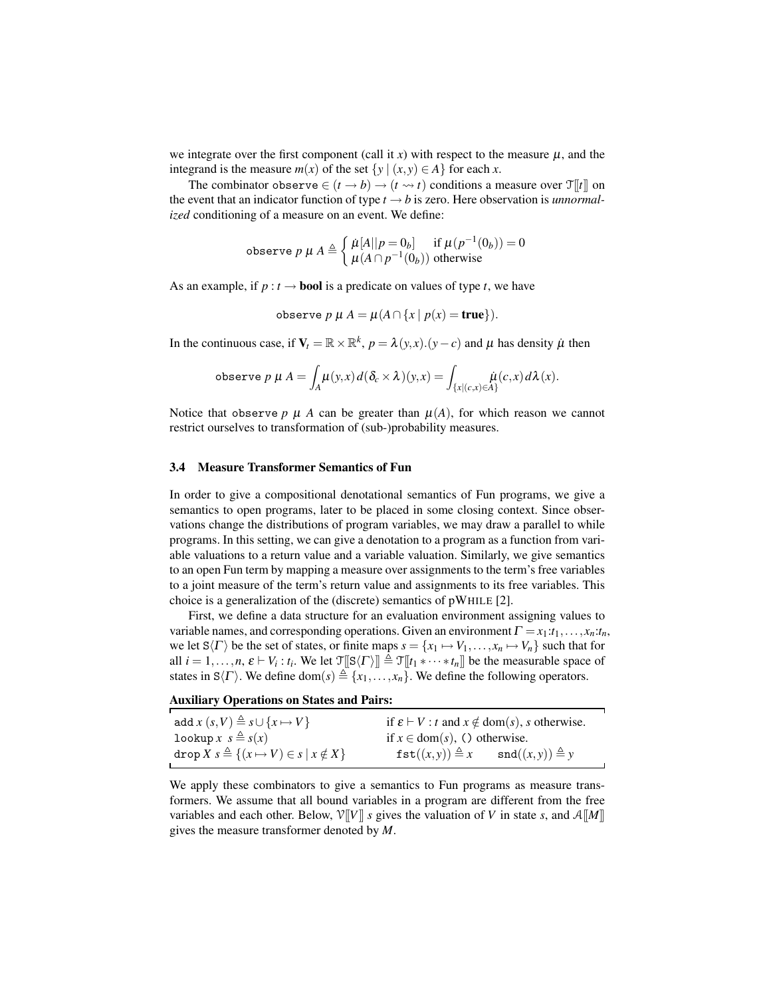we integrate over the first component (call it  $x$ ) with respect to the measure  $\mu$ , and the integrand is the measure  $m(x)$  of the set  $\{y \mid (x, y) \in A\}$  for each *x*.

The combinator observe  $\in (t \to b) \to (t \to t)$  conditions a measure over  $\mathcal{T}[[t]]$  on the event that an indicator function of type  $t \rightarrow b$  is zero. Here observation is *unnormalized* conditioning of a measure on an event. We define:

$$
\text{observe } p \mu A \triangleq \begin{cases} \mu[A||p=0_b] & \text{if } \mu(p^{-1}(0_b)) = 0\\ \mu(A \cap p^{-1}(0_b)) & \text{otherwise} \end{cases}
$$

As an example, if  $p : t \to \text{bool}$  is a predicate on values of type *t*, we have

$$
\text{observe } p \mu A = \mu(A \cap \{x \mid p(x) = \text{true}\}).
$$

In the continuous case, if  $V_t = \mathbb{R} \times \mathbb{R}^k$ ,  $p = \lambda(y, x) \cdot (y - c)$  and  $\mu$  has density  $\mu$  then

$$
\text{observe } p \mu A = \int_A \mu(y, x) d(\delta_c \times \lambda)(y, x) = \int_{\{x \mid (c, x) \in A\}} \mu(c, x) d\lambda(x).
$$

Notice that observe  $p \mu A$  can be greater than  $\mu(A)$ , for which reason we cannot restrict ourselves to transformation of (sub-)probability measures.

#### 3.4 Measure Transformer Semantics of Fun

In order to give a compositional denotational semantics of Fun programs, we give a semantics to open programs, later to be placed in some closing context. Since observations change the distributions of program variables, we may draw a parallel to while programs. In this setting, we can give a denotation to a program as a function from variable valuations to a return value and a variable valuation. Similarly, we give semantics to an open Fun term by mapping a measure over assignments to the term's free variables to a joint measure of the term's return value and assignments to its free variables. This choice is a generalization of the (discrete) semantics of pWHILE [2].

First, we define a data structure for an evaluation environment assigning values to variable names, and corresponding operations. Given an environment  $\Gamma = x_1 : t_1, \ldots, x_n : t_n$ , we let  $S\langle \Gamma \rangle$  be the set of states, or finite maps  $s = \{x_1 \mapsto V_1, \ldots, x_n \mapsto V_n\}$  such that for all  $i = 1, \ldots, n$ ,  $\varepsilon \vdash V_i : t_i$ . We let  $\mathcal{T}[\S \langle \Gamma \rangle] \triangleq \mathcal{T}[\![t_1 * \cdots * t_n]\!]$  be the measurable space of states in S $\langle \Gamma \rangle$ . We define dom(*s*)  $\triangleq \{x_1,\ldots,x_n\}$ . We define the following operators.

| add $x(s, V) \triangleq s \cup \{x \mapsto V\}$               | if $\varepsilon \vdash V : t$ and $x \notin \text{dom}(s)$ , s otherwise. |
|---------------------------------------------------------------|---------------------------------------------------------------------------|
| lookup $x s \triangleq s(x)$                                  | if $x \in \text{dom}(s)$ , () otherwise.                                  |
| drop $X s \triangleq \{(x \mapsto V) \in s \mid x \notin X\}$ | $\texttt{fst}((x, y)) \triangleq x$ $\texttt{snd}((x, y)) \triangleq y$   |

We apply these combinators to give a semantics to Fun programs as measure transformers. We assume that all bound variables in a program are different from the free variables and each other. Below,  $V[[V]]$  *s* gives the valuation of *V* in state *s*, and  $A[[M]]$ gives the measure transformer denoted by *M*.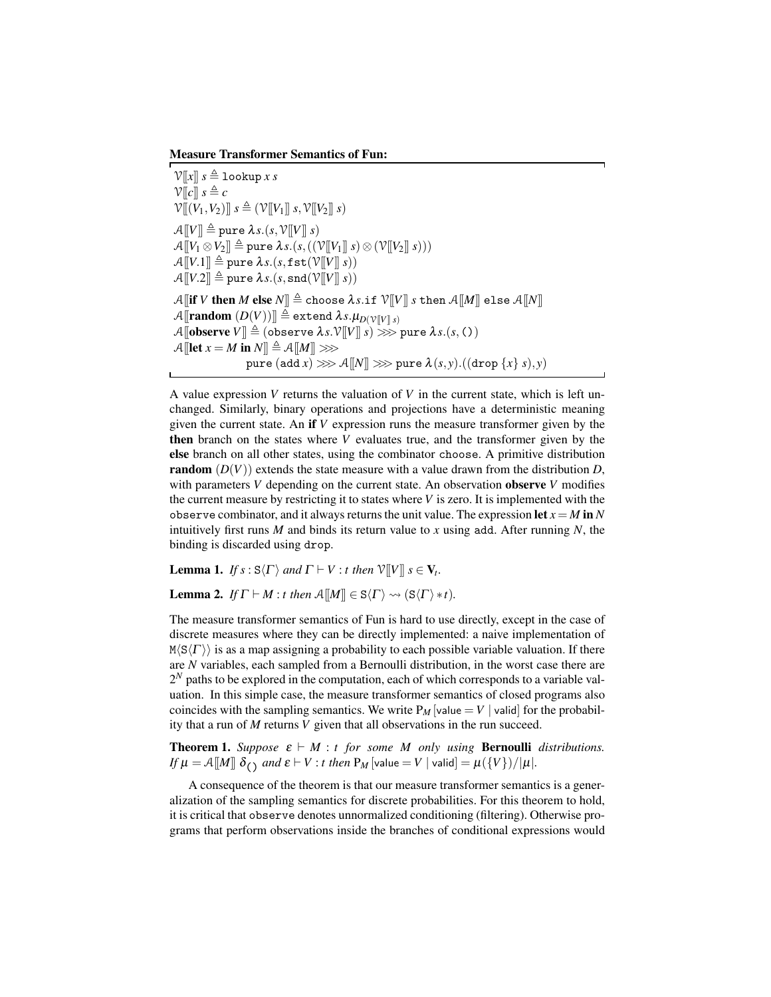Measure Transformer Semantics of Fun:

 $V[[x]]$   $s \triangleq$  lookup *x s*  $V[[c]]$   $s \triangleq c$  $\mathcal{V}[(V_1, V_2)] \ s \triangleq (\mathcal{V}[[V_1]] \ s, \mathcal{V}[[V_2]] \ s)$  $\mathcal{A}[[V]] \triangleq$  pure  $\lambda s.(s, \mathcal{V}[[V]] s)$  $\mathcal{A}[[V_1 \otimes V_2]] \triangleq$  pure  $\lambda s.(s,((\mathcal{V}[[V_1]] s) \otimes (\mathcal{V}[[V_2]] s)))$  $\mathcal{A}[[V.1]] \triangleq$  pure  $\lambda s.(s, \texttt{fst}(\mathcal{V}[[V]] s))$  $\mathcal{A}[[V.2]] \triangleq$  pure  $\lambda s.(s, \text{snd}(\mathcal{V}[[V]] s))$  $\mathcal{A}$  **[if** *V* then *M* else  $N$ ]  $\triangleq$  choose  $\lambda s$ .if  $\mathcal{V}[V]$  *s* then  $\mathcal{A}[M]$  else  $\mathcal{A}[N]$  $\mathcal{A}$ [**random**  $(D(V))] \triangleq$  extend  $\lambda s.\mu_{D(V[V]|s)}$  $\mathcal{A}$ [**observe**  $V$ ]]  $\triangleq$  (observe  $\lambda s.\mathcal{V}$ [ $V$ ]]  $s$ )  $\gg$  pure  $\lambda s.(s, C)$  $\mathcal{A}$ [**let**  $x = M$  in  $N$ ]  $\triangleq \mathcal{A}$ [[M]]  $\gg$ pure  $(\text{add } x) \ggg \mathcal{A}[[N]] \ggg$  pure  $\lambda(s, y)$ . $((\text{drop } \{x\} s), y)$ 

A value expression *V* returns the valuation of *V* in the current state, which is left unchanged. Similarly, binary operations and projections have a deterministic meaning given the current state. An if *V* expression runs the measure transformer given by the then branch on the states where *V* evaluates true, and the transformer given by the else branch on all other states, using the combinator choose. A primitive distribution **random**  $(D(V))$  extends the state measure with a value drawn from the distribution *D*, with parameters *V* depending on the current state. An observation observe *V* modifies the current measure by restricting it to states where *V* is zero. It is implemented with the observe combinator, and it always returns the unit value. The expression let  $x = M$  in N intuitively first runs *M* and binds its return value to *x* using add. After running *N*, the binding is discarded using drop.

**Lemma 1.** *If*  $s : S\langle \Gamma \rangle$  *and*  $\Gamma \vdash V : t$  *then*  $\mathcal{V}[[V]]$   $s \in V_t$ .

**Lemma 2.** *If*  $\Gamma \vdash M : t$  *then*  $\mathcal{A}[[M]] \in S\langle \Gamma \rangle \rightsquigarrow (S\langle \Gamma \rangle * t)$ *.* 

The measure transformer semantics of Fun is hard to use directly, except in the case of discrete measures where they can be directly implemented: a naive implementation of  $M(S\langle\Gamma\rangle)$  is as a map assigning a probability to each possible variable valuation. If there are *N* variables, each sampled from a Bernoulli distribution, in the worst case there are  $2<sup>N</sup>$  paths to be explored in the computation, each of which corresponds to a variable valuation. In this simple case, the measure transformer semantics of closed programs also coincides with the sampling semantics. We write  $P_M$  [value  $= V |$ valid] for the probability that a run of *M* returns *V* given that all observations in the run succeed.

**Theorem 1.** *Suppose*  $\varepsilon \vdash M$  : *t for some M only using* **Bernoulli** *distributions. If*  $\mu = A[M] \delta_O$  *and*  $\epsilon \vdash V : t$  *then*  $P_M$  [value = V | valid] =  $\mu({V})/|\mu|$ *.* 

A consequence of the theorem is that our measure transformer semantics is a generalization of the sampling semantics for discrete probabilities. For this theorem to hold, it is critical that observe denotes unnormalized conditioning (filtering). Otherwise programs that perform observations inside the branches of conditional expressions would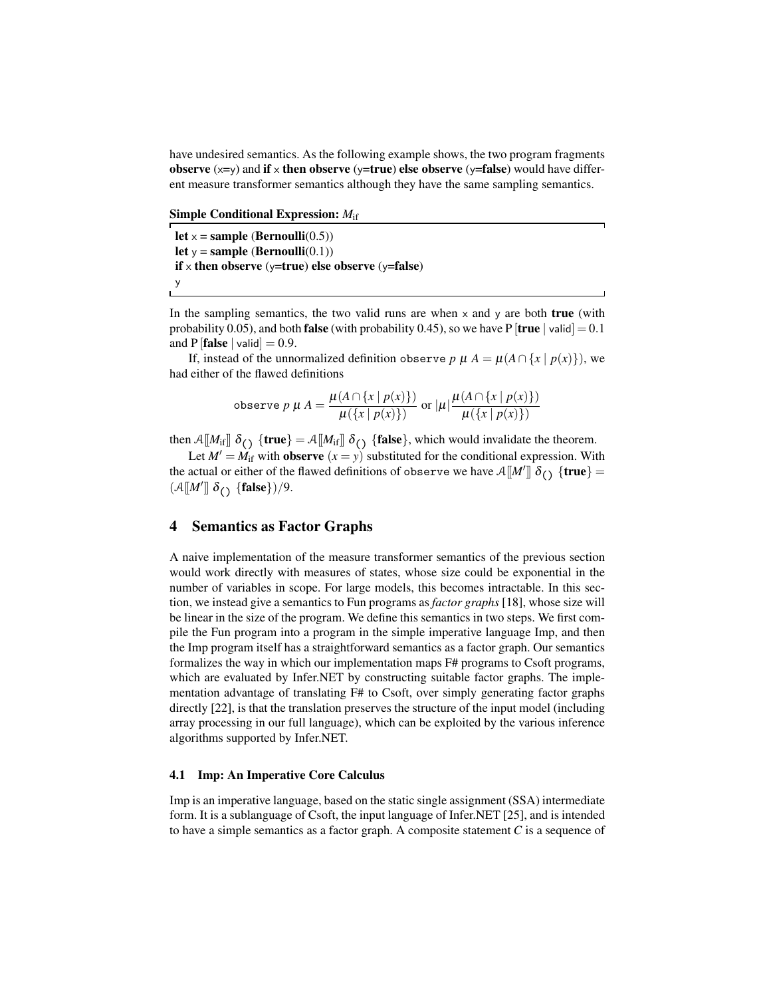have undesired semantics. As the following example shows, the two program fragments observe  $(x=y)$  and if x then observe  $(y=true)$  else observe  $(y=false)$  would have different measure transformer semantics although they have the same sampling semantics.

Simple Conditional Expression: *M*if

let  $x =$  sample (Bernoulli(0.5)) let  $y =$ sample (Bernoulli $(0.1)$ ) if x then observe ( $\sqrt{\ }$ =true) else observe ( $\sqrt{\ }$ =false) y

In the sampling semantics, the two valid runs are when  $\times$  and  $\times$  are both **true** (with probability 0.05), and both **false** (with probability 0.45), so we have P  $[\text{true} \mid \text{valid}] = 0.1$ and P  $[\text{false} \mid \text{valid}] = 0.9$ .

If, instead of the unnormalized definition observe *p*  $\mu A = \mu(A \cap \{x \mid p(x)\})$ , we had either of the flawed definitions

$$
\text{observe } p \mu A = \frac{\mu(A \cap \{x \mid p(x)\})}{\mu(\{x \mid p(x)\})} \text{ or } |\mu| \frac{\mu(A \cap \{x \mid p(x)\})}{\mu(\{x \mid p(x)\})}
$$

then  $\mathcal{A}[[M_{\text{if}}]]$   $\delta_{\text{c}}$  {true} =  $\mathcal{A}[[M_{\text{if}}]]$   $\delta_{\text{c}}$  {false}, which would invalidate the theorem.

Let  $M' = M_{\text{if}}$  with **observe**  $(x = y)$  substituted for the conditional expression. With the actual or either of the flawed definitions of observe we have  $\mathcal{A}[[M']]\delta_{()}$  {true} =  $(A[[M']]\delta_{()} \{\text{false}\})/9.$ 

# 4 Semantics as Factor Graphs

A naive implementation of the measure transformer semantics of the previous section would work directly with measures of states, whose size could be exponential in the number of variables in scope. For large models, this becomes intractable. In this section, we instead give a semantics to Fun programs as *factor graphs* [18], whose size will be linear in the size of the program. We define this semantics in two steps. We first compile the Fun program into a program in the simple imperative language Imp, and then the Imp program itself has a straightforward semantics as a factor graph. Our semantics formalizes the way in which our implementation maps F# programs to Csoft programs, which are evaluated by Infer.NET by constructing suitable factor graphs. The implementation advantage of translating F# to Csoft, over simply generating factor graphs directly [22], is that the translation preserves the structure of the input model (including array processing in our full language), which can be exploited by the various inference algorithms supported by Infer.NET.

### 4.1 Imp: An Imperative Core Calculus

Imp is an imperative language, based on the static single assignment (SSA) intermediate form. It is a sublanguage of Csoft, the input language of Infer.NET [25], and is intended to have a simple semantics as a factor graph. A composite statement *C* is a sequence of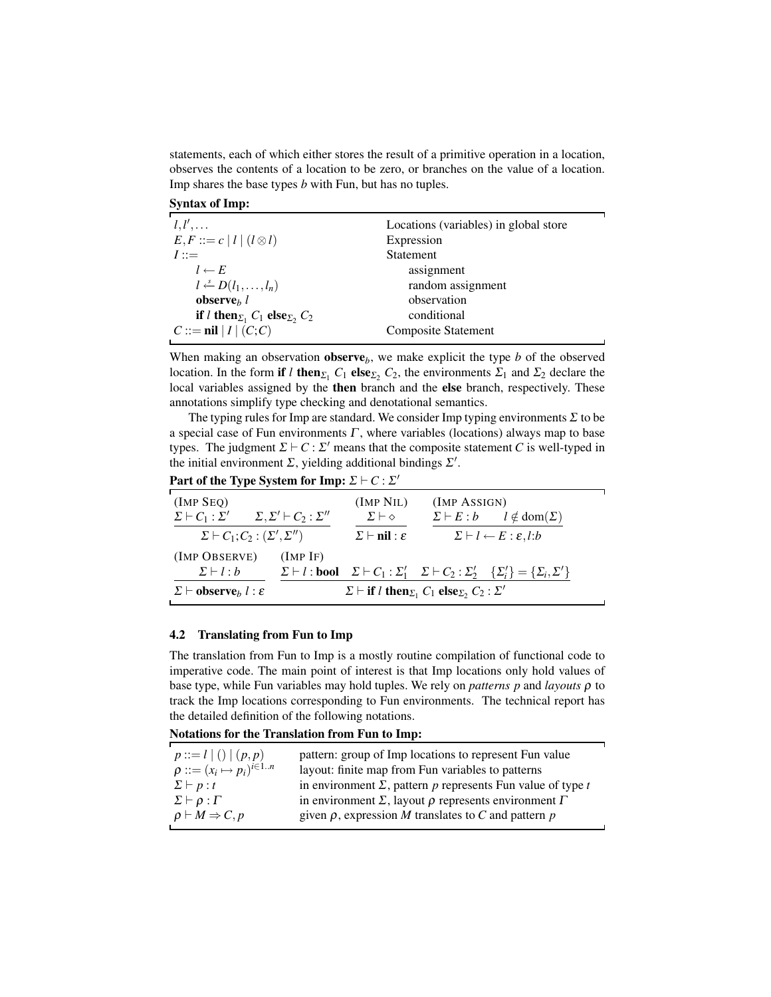statements, each of which either stores the result of a primitive operation in a location, observes the contents of a location to be zero, or branches on the value of a location. Imp shares the base types *b* with Fun, but has no tuples.

| <b>Syntax of Imp:</b> |  |  |
|-----------------------|--|--|
|-----------------------|--|--|

| $l, l', \ldots$                                           | Locations (variables) in global store |  |
|-----------------------------------------------------------|---------------------------------------|--|
| $E, F ::= c   l   (l \otimes l)$                          | Expression                            |  |
| $I ::=$                                                   | <b>Statement</b>                      |  |
| $l \leftarrow E$                                          | assignment                            |  |
| $l \leftarrow D(l_1, \ldots, l_n)$                        | random assignment                     |  |
| observe <sub><math>h</math></sub> l                       | observation                           |  |
| if <i>l</i> then $\Sigma_1$ $C_1$ else $\Sigma_2$ , $C_2$ | conditional                           |  |
| $C ::= \textbf{nil}   I   (C; C)$                         | <b>Composite Statement</b>            |  |
|                                                           |                                       |  |

When making an observation **observe**<sub> $b$ </sub>, we make explicit the type  $b$  of the observed location. In the form if *l* then  $\Sigma_1$  *C*<sub>1</sub> else  $\Sigma_2$  *C*<sub>2</sub>, the environments  $\Sigma_1$  and  $\Sigma_2$  declare the local variables assigned by the then branch and the else branch, respectively. These annotations simplify type checking and denotational semantics.

The typing rules for Imp are standard. We consider Imp typing environments  $\Sigma$  to be a special case of Fun environments  $\Gamma$ , where variables (locations) always map to base types. The judgment  $\Sigma \vdash C : \Sigma'$  means that the composite statement *C* is well-typed in the initial environment  $\Sigma$ , yielding additional bindings  $\Sigma'$ .

Part of the Type System for Imp:  $\Sigma \vdash C : \Sigma'$ 

| $(IMP$ SEQ)                                                   |                                                                                                                                   | (IMP NIL)                             | (IMP ASSIGN) |                                                                                                                                         |
|---------------------------------------------------------------|-----------------------------------------------------------------------------------------------------------------------------------|---------------------------------------|--------------|-----------------------------------------------------------------------------------------------------------------------------------------|
| $\Sigma \vdash C_1 : \Sigma'$                                 | $\Sigma, \Sigma' \vdash C_2 : \Sigma''$                                                                                           | $\Sigma \vdash \diamond$              |              | $\Sigma \vdash E : b$ $l \notin \text{dom}(\Sigma)$                                                                                     |
| $\Sigma \vdash C_1; C_2 : (\Sigma', \Sigma'')$                |                                                                                                                                   | $\Sigma$ $\vdash$ nil : $\varepsilon$ |              | $\Sigma \vdash l \leftarrow E : \varepsilon, l : b$                                                                                     |
| (IMP OBSERVE)                                                 | $(IMP$ IF)                                                                                                                        |                                       |              |                                                                                                                                         |
| $\Sigma \vdash l : b$                                         |                                                                                                                                   |                                       |              | $\Sigma \vdash l : \text{bool}$ $\Sigma \vdash C_1 : \Sigma'_1$ $\Sigma \vdash C_2 : \Sigma'_2$ $\{\Sigma'_i\} = \{\Sigma_i, \Sigma'\}$ |
| $\Sigma \vdash$ <b>observe</b> <sub>b</sub> $l : \varepsilon$ | $\Sigma$ $\vdash$ if <i>l</i> then <sub><math>\Sigma_1</math></sub> $C_1$ else <sub><math>\Sigma_2</math></sub> $C_2$ : $\Sigma'$ |                                       |              |                                                                                                                                         |

### 4.2 Translating from Fun to Imp

The translation from Fun to Imp is a mostly routine compilation of functional code to imperative code. The main point of interest is that Imp locations only hold values of base type, while Fun variables may hold tuples. We rely on *patterns p* and *layouts* ρ to track the Imp locations corresponding to Fun environments. The technical report has the detailed definition of the following notations.

| $p ::= l   ()   (p, p)$                 | pattern: group of Imp locations to represent Fun value                  |
|-----------------------------------------|-------------------------------------------------------------------------|
| $\rho ::= (x_i \mapsto p_i)^{i \in 1n}$ | layout: finite map from Fun variables to patterns                       |
| $\Sigma \vdash p : t$                   | in environment $\Sigma$ , pattern p represents Fun value of type t      |
| $\Sigma \vdash \rho : \Gamma$           | in environment $\Sigma$ , layout $\rho$ represents environment $\Gamma$ |
| $\rho \vdash M \Rightarrow C, p$        | given $\rho$ , expression M translates to C and pattern $p$             |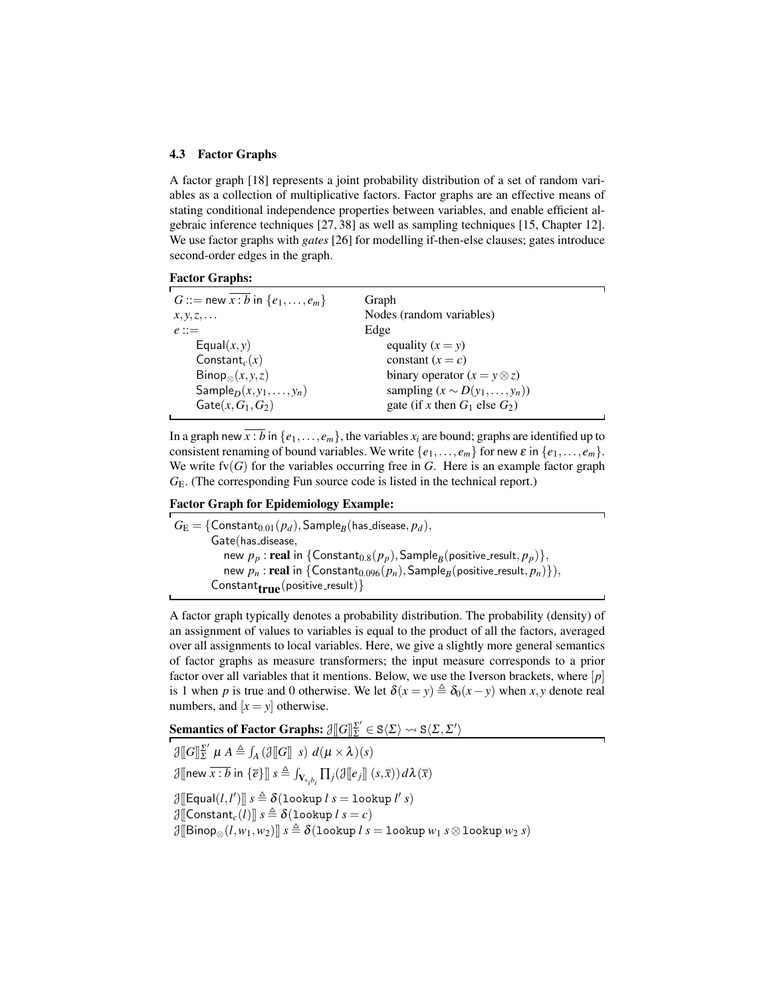#### 4.3 Factor Graphs

A factor graph [18] represents a joint probability distribution of a set of random variables as a collection of multiplicative factors. Factor graphs are an effective means of stating conditional independence properties between variables, and enable efficient algebraic inference techniques [27, 38] as well as sampling techniques [15, Chapter 12]. We use factor graphs with *gates* [26] for modelling if-then-else clauses; gates introduce second-order edges in the graph.



| G ::= new $x : b$ in $\{e_1, , e_m\}$       | Graph                                   |
|---------------------------------------------|-----------------------------------------|
| $x, y, z, \ldots$                           | Nodes (random variables)                |
| $e ::=$                                     | Edge                                    |
| Equal $(x, y)$                              | equality $(x = y)$                      |
| Constant <sub>c</sub> $(x)$                 | constant $(x = c)$                      |
| $\mathsf{Binop}_{\otimes}(x, y, z)$         | binary operator $(x = y \otimes z)$     |
| Sample <sub>D</sub> $(x, y_1, \ldots, y_n)$ | sampling $(x \sim D(y_1, \ldots, y_n))$ |
| $\textsf{Gate}(x, G_1, G_2)$                | gate (if x then $G_1$ else $G_2$ )      |

In a graph new  $\overline{x : b}$  in  $\{e_1, \ldots, e_m\}$ , the variables  $x_i$  are bound; graphs are identified up to consistent renaming of bound variables. We write  $\{e_1, \ldots, e_m\}$  for new  $\varepsilon$  in  $\{e_1, \ldots, e_m\}$ . We write  $fv(G)$  for the variables occurring free in *G*. Here is an example factor graph *G*E. (The corresponding Fun source code is listed in the technical report.)

### Factor Graph for Epidemiology Example:

 $G_{\text{E}} = \{\textsf{Constant}_{0.01}(p_d),\textsf{Sample}_B(\textsf{has\_disease},p_d),$ Gate(has\_disease, new  $p_p$  :  $\mathbf{real}$  in  $\{\mathsf{Constant}_{0.8}(p_p),\mathsf{Sample}_B(\mathsf{positive\_result},p_p)\},$  $\mathsf{new}\ p_n: \mathsf{real}\ \mathsf{in}\ \{\mathsf{Constant}_{0.096}(p_n),\mathsf{Sample}_B(\mathsf{positive}\_\mathsf{result},p_n)\}),$  $\text{Constant}_{\text{true}}(\text{positive\_result})\}$ 

A factor graph typically denotes a probability distribution. The probability (density) of an assignment of values to variables is equal to the product of all the factors, averaged over all assignments to local variables. Here, we give a slightly more general semantics of factor graphs as measure transformers; the input measure corresponds to a prior factor over all variables that it mentions. Below, we use the Iverson brackets, where [*p*] is 1 when *p* is true and 0 otherwise. We let  $\delta(x = y) \triangleq \delta_0(x - y)$  when *x*, *y* denote real numbers, and  $[x = y]$  otherwise.

**Semantics of Factor Graphs:**  $\mathcal{J}\llbracket G \rrbracket_{\Sigma}^{Z'} \in \mathtt{S}\langle \Sigma \rangle \rightsquigarrow \mathtt{S}\langle \Sigma, \Sigma' \rangle$ 

 $\partial \|G\|_{\Sigma}^{\Sigma'}$  $\sum_{\Sigma}^{\prime} \mu A \triangleq \int_A (\mathcal{J}[[G]] \; s) \; d(\mu \times \lambda)(s)$  $\mathcal{J}[\left[\text{new } \overline{x : b} \text{ in } \{\overline{e}\}\right]] \ s \triangleq \int_{\mathbf{V}_{\ast_i b_i}} \prod_j(\mathcal{J}[\left[e_j\right]](s, \overline{x})) \, d\lambda(\overline{x})$  $\mathcal{J}[\llbracket \mathsf{Equal}(l, l') \rrbracket \ s \triangleq \delta(\texttt{lookup} \ l \ s = \texttt{lookup} \ l' \ s)$  $\mathcal{J}$ [[Constant<sub>*c*</sub>(*l*)]]  $s \triangleq \delta$ (lookup  $l s = c$ )  $\partial \mathbb{E}[\text{Binop}_{\otimes} (l, w_1, w_2)]$   $s \triangleq \delta(\text{lookup } l \ s = \text{lookup } w_1 \ s \otimes \text{lookup } w_2 \ s)$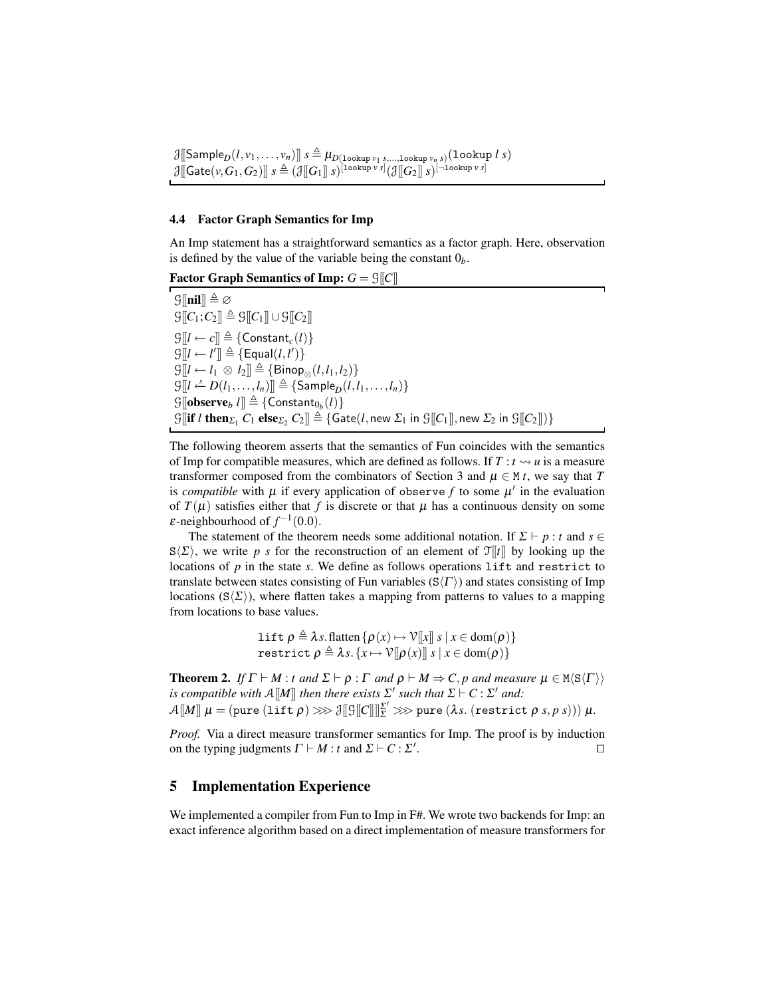$\mathcal{J}[[\mathsf{Sample}_D(l, v_1, \dots, v_n)]]$   $s \triangleq \mu_{D(\texttt{lookup } v_1, s, \dots, \texttt{lookup } v_n, s)}(\texttt{lookup } l, s)$  $\mathcal{J}[\![\mathsf{Gate}(v, G_1, G_2)]\!] \ s \triangleq (\mathcal{J}[\![G_1]\!] \ s)^{[\tt{lookup}\, \nu \, s]} (\mathcal{J}[\![G_2]\!] \ s)^{[-\tt{lookup}\, \nu \, s]}$ 

#### 4.4 Factor Graph Semantics for Imp

An Imp statement has a straightforward semantics as a factor graph. Here, observation is defined by the value of the variable being the constant  $0<sub>b</sub>$ .

Factor Graph Semantics of Imp:  $G = \mathcal{G}[[C]]$ 

 $\mathcal{G}[\![\mathbf{nil}]\!] \triangleq \varnothing$  $\mathcal{G}[[C_1; C_2]] \triangleq \mathcal{G}[[C_1]] \cup \mathcal{G}[[C_2]]$  $\mathcal{G}[[l \leftarrow c]] \triangleq \{Constant_c(l)\}$  $\mathcal{G}[[l \leftarrow l'] \triangleq {\text{[Equal}(l, l')$}$  $\mathcal{G}[[l \leftarrow l_1 \otimes l_2]] \triangleq {\text{Binop}_{\otimes}(l, l_1, l_2)}$  $\mathcal{G}[[l \leftarrow D(l_1, \ldots, l_n)]] \triangleq {\text{Sample}_D(l, l_1, \ldots, l_n)}$  $\mathcal{G}[\![\mathbf{observe}_b\ l]\!]\triangleq \{\mathsf{Constant}_{0_b}(l)\}$  $G[\![\textbf{if } l \textbf{ then }_{\Sigma_1} C_1 \textbf{ else}_{\Sigma_2} C_2]\!] \stackrel{\sim}{=} \{ \textbf{Gate}(l, \text{new } \Sigma_1 \textbf{ in } \Im[\![C_1]\!], \text{new } \Sigma_2 \textbf{ in } \Im[\![C_2]\!]) \}$ 

The following theorem asserts that the semantics of Fun coincides with the semantics of Imp for compatible measures, which are defined as follows. If  $T : t \rightarrow u$  is a measure transformer composed from the combinators of Section 3 and  $\mu \in M t$ , we say that *T* is *compatible* with  $\mu$  if every application of observe  $f$  to some  $\mu'$  in the evaluation of  $T(\mu)$  satisfies either that f is discrete or that  $\mu$  has a continuous density on some  $\varepsilon$ -neighbourhood of  $f^{-1}(0.0)$ .

The statement of the theorem needs some additional notation. If  $\Sigma \vdash p : t$  and  $s \in$  $S(\Sigma)$ , we write *p s* for the reconstruction of an element of  $\mathcal{T}[t]]$  by looking up the locations of *p* in the state *s*. We define as follows operations lift and restrict to translate between states consisting of Fun variables  $(S\langle \Gamma \rangle)$  and states consisting of Imp locations  $(S\langle\Sigma\rangle)$ , where flatten takes a mapping from patterns to values to a mapping from locations to base values.

> lift  $\rho \triangleq \lambda s$ . flatten  $\{\rho(x) \mapsto \mathcal{V}[[x]] \ s \mid x \in \text{dom}(\rho)\}\$  $\texttt{restrict}\ \rho \triangleq \lambda s.\,\{x \mapsto \mathcal{V}[\![\rho(x)]\!]\ s\ |\ x \in \texttt{dom}(\rho)\}$

**Theorem 2.** *If*  $\Gamma \vdash M : t$  *and*  $\Sigma \vdash \rho : \Gamma$  *and*  $\rho \vdash M \Rightarrow C, p$  *and measure*  $\mu \in M \langle S \langle \Gamma \rangle \rangle$ *is compatible with*  $\mathcal{A}[[M]]$  *then there exists*  $\Sigma'$  *such that*  $\Sigma \vdash C : \Sigma'$  *and:*  $\mathcal{A}[\![M]\!]$   $\mu = (\text{pure (lift $\rho$)} \ggg \mathcal{B}[\![\mathcal{G}]\!][\![\mathcal{E}']\!] \frac{\mathcal{E}'}{\mathcal{E}} \ggg \text{pure (}\lambda s. \text{ (restrict $\rho$ } s, p \text{ s)}\text{))}\text{ }\mu.$ 

*Proof.* Via a direct measure transformer semantics for Imp. The proof is by induction on the typing judgments  $\Gamma \vdash M : t$  and  $\Sigma \vdash C : \Sigma'$ . The contract of  $\Box$ 

# 5 Implementation Experience

We implemented a compiler from Fun to Imp in F#. We wrote two backends for Imp: an exact inference algorithm based on a direct implementation of measure transformers for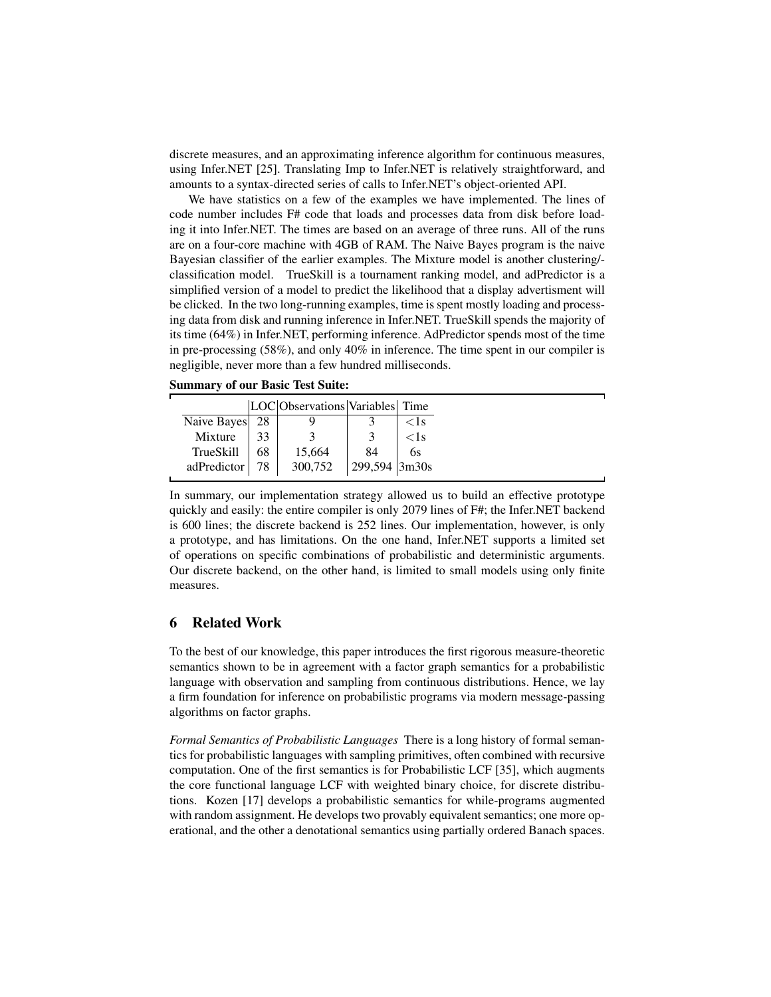discrete measures, and an approximating inference algorithm for continuous measures, using Infer.NET [25]. Translating Imp to Infer.NET is relatively straightforward, and amounts to a syntax-directed series of calls to Infer.NET's object-oriented API.

We have statistics on a few of the examples we have implemented. The lines of code number includes F# code that loads and processes data from disk before loading it into Infer.NET. The times are based on an average of three runs. All of the runs are on a four-core machine with 4GB of RAM. The Naive Bayes program is the naive Bayesian classifier of the earlier examples. The Mixture model is another clustering/ classification model. TrueSkill is a tournament ranking model, and adPredictor is a simplified version of a model to predict the likelihood that a display advertisment will be clicked. In the two long-running examples, time is spent mostly loading and processing data from disk and running inference in Infer.NET. TrueSkill spends the majority of its time (64%) in Infer.NET, performing inference. AdPredictor spends most of the time in pre-processing (58%), and only 40% in inference. The time spent in our compiler is negligible, never more than a few hundred milliseconds.

Summary of our Basic Test Suite:

|                  |    | LOC Observations Variables Time |               |         |
|------------------|----|---------------------------------|---------------|---------|
| Naive Bayes 28   |    |                                 |               | $<$ 1 s |
| Mixture          | 33 |                                 |               | < 1s    |
| <b>TrueSkill</b> | 68 | 15,664                          | 84            | 6s      |
| adPredictor   78 |    | 300,752                         | 299,594 3m30s |         |

In summary, our implementation strategy allowed us to build an effective prototype quickly and easily: the entire compiler is only 2079 lines of F#; the Infer.NET backend is 600 lines; the discrete backend is 252 lines. Our implementation, however, is only a prototype, and has limitations. On the one hand, Infer.NET supports a limited set of operations on specific combinations of probabilistic and deterministic arguments. Our discrete backend, on the other hand, is limited to small models using only finite measures.

# 6 Related Work

To the best of our knowledge, this paper introduces the first rigorous measure-theoretic semantics shown to be in agreement with a factor graph semantics for a probabilistic language with observation and sampling from continuous distributions. Hence, we lay a firm foundation for inference on probabilistic programs via modern message-passing algorithms on factor graphs.

*Formal Semantics of Probabilistic Languages* There is a long history of formal semantics for probabilistic languages with sampling primitives, often combined with recursive computation. One of the first semantics is for Probabilistic LCF [35], which augments the core functional language LCF with weighted binary choice, for discrete distributions. Kozen [17] develops a probabilistic semantics for while-programs augmented with random assignment. He develops two provably equivalent semantics; one more operational, and the other a denotational semantics using partially ordered Banach spaces.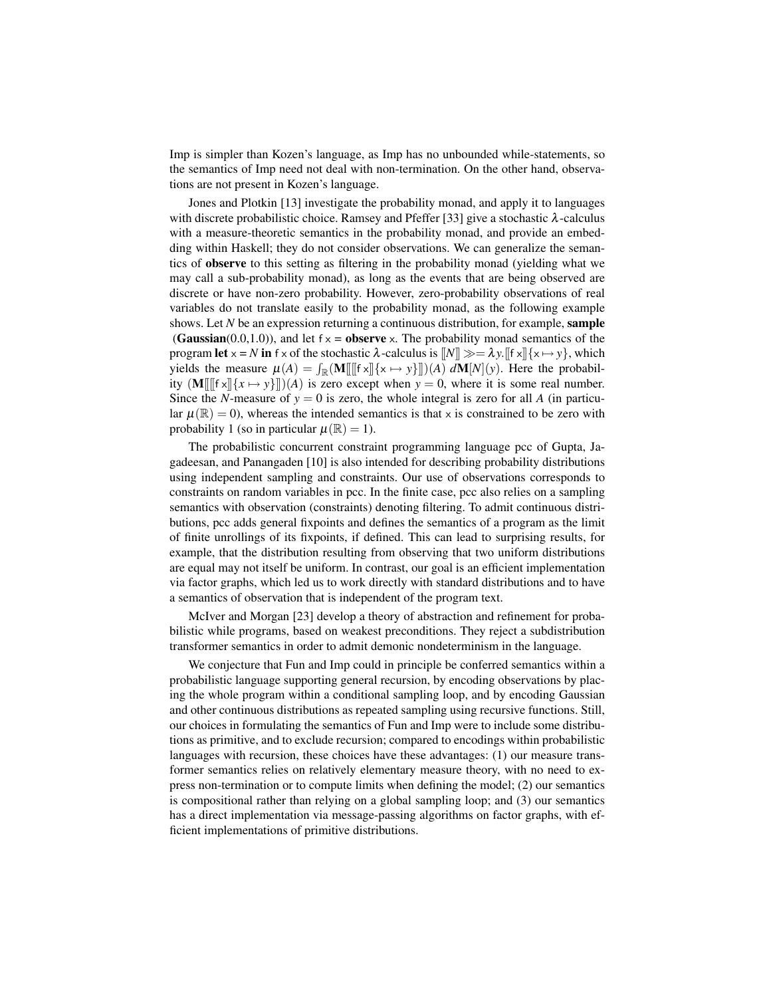Imp is simpler than Kozen's language, as Imp has no unbounded while-statements, so the semantics of Imp need not deal with non-termination. On the other hand, observations are not present in Kozen's language.

Jones and Plotkin [13] investigate the probability monad, and apply it to languages with discrete probabilistic choice. Ramsey and Pfeffer [33] give a stochastic  $\lambda$ -calculus with a measure-theoretic semantics in the probability monad, and provide an embedding within Haskell; they do not consider observations. We can generalize the semantics of observe to this setting as filtering in the probability monad (yielding what we may call a sub-probability monad), as long as the events that are being observed are discrete or have non-zero probability. However, zero-probability observations of real variables do not translate easily to the probability monad, as the following example shows. Let *N* be an expression returning a continuous distribution, for example, sample (Gaussian(0.0,1.0)), and let  $f \times =$  observe x. The probability monad semantics of the program let  $x = N$  in  $f \times f$  the stochastic  $\lambda$ -calculus is  $[[N]] \gg = \lambda y$ .  $[[f \times || \{x \mapsto y\}]$ , which yields the measure  $\mu(A) = \int_{\mathbb{R}} (\mathbf{M}[[[\![\mathbf{f} \times \mathbf{r}]] \{ \mathbf{x} \mapsto \mathbf{y} \} ]\!](A) d\mathbf{M}[N](\mathbf{y})$ . Here the probability  $(M \| \| f x \| \{x \mapsto y\} \|)(A)$  is zero except when  $y = 0$ , where it is some real number. Since the *N*-measure of  $y = 0$  is zero, the whole integral is zero for all *A* (in particular  $\mu(\mathbb{R}) = 0$ , whereas the intended semantics is that x is constrained to be zero with probability 1 (so in particular  $\mu(\mathbb{R}) = 1$ ).

The probabilistic concurrent constraint programming language pcc of Gupta, Jagadeesan, and Panangaden [10] is also intended for describing probability distributions using independent sampling and constraints. Our use of observations corresponds to constraints on random variables in pcc. In the finite case, pcc also relies on a sampling semantics with observation (constraints) denoting filtering. To admit continuous distributions, pcc adds general fixpoints and defines the semantics of a program as the limit of finite unrollings of its fixpoints, if defined. This can lead to surprising results, for example, that the distribution resulting from observing that two uniform distributions are equal may not itself be uniform. In contrast, our goal is an efficient implementation via factor graphs, which led us to work directly with standard distributions and to have a semantics of observation that is independent of the program text.

McIver and Morgan [23] develop a theory of abstraction and refinement for probabilistic while programs, based on weakest preconditions. They reject a subdistribution transformer semantics in order to admit demonic nondeterminism in the language.

We conjecture that Fun and Imp could in principle be conferred semantics within a probabilistic language supporting general recursion, by encoding observations by placing the whole program within a conditional sampling loop, and by encoding Gaussian and other continuous distributions as repeated sampling using recursive functions. Still, our choices in formulating the semantics of Fun and Imp were to include some distributions as primitive, and to exclude recursion; compared to encodings within probabilistic languages with recursion, these choices have these advantages: (1) our measure transformer semantics relies on relatively elementary measure theory, with no need to express non-termination or to compute limits when defining the model; (2) our semantics is compositional rather than relying on a global sampling loop; and (3) our semantics has a direct implementation via message-passing algorithms on factor graphs, with efficient implementations of primitive distributions.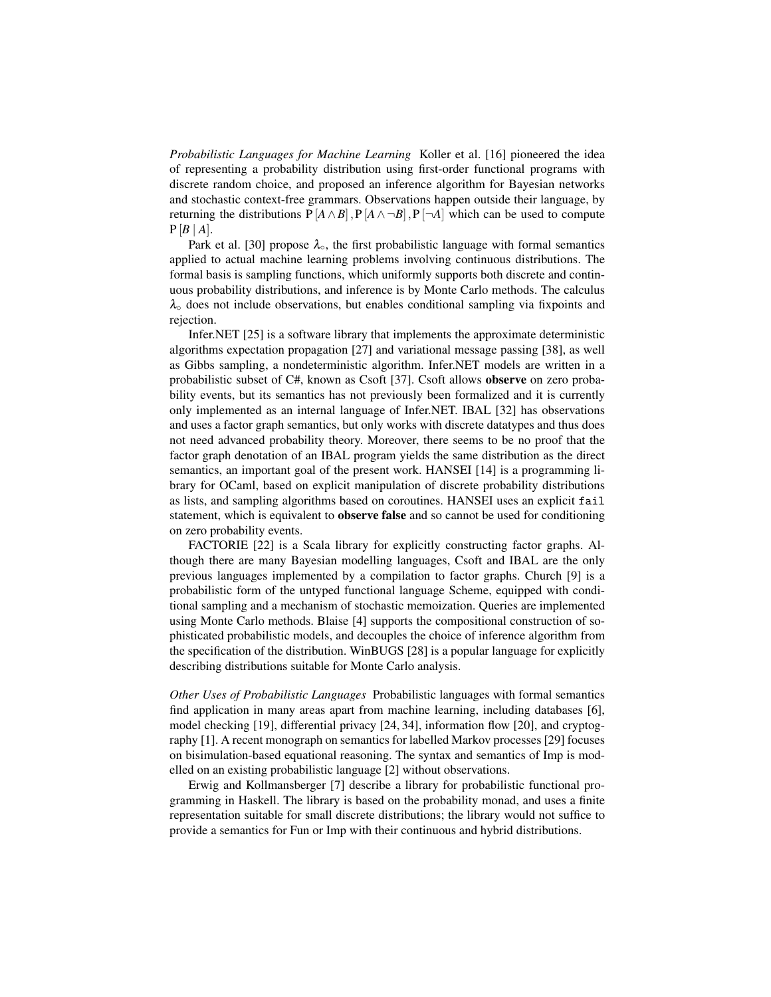*Probabilistic Languages for Machine Learning* Koller et al. [16] pioneered the idea of representing a probability distribution using first-order functional programs with discrete random choice, and proposed an inference algorithm for Bayesian networks and stochastic context-free grammars. Observations happen outside their language, by returning the distributions  $P[A \wedge B], P[A \wedge \neg B], P[\neg A]$  which can be used to compute  $P[B | A]$ .

Park et al. [30] propose  $\lambda_0$ , the first probabilistic language with formal semantics applied to actual machine learning problems involving continuous distributions. The formal basis is sampling functions, which uniformly supports both discrete and continuous probability distributions, and inference is by Monte Carlo methods. The calculus  $\lambda_{\circ}$  does not include observations, but enables conditional sampling via fixpoints and rejection.

Infer.NET [25] is a software library that implements the approximate deterministic algorithms expectation propagation [27] and variational message passing [38], as well as Gibbs sampling, a nondeterministic algorithm. Infer.NET models are written in a probabilistic subset of C#, known as Csoft [37]. Csoft allows observe on zero probability events, but its semantics has not previously been formalized and it is currently only implemented as an internal language of Infer.NET. IBAL [32] has observations and uses a factor graph semantics, but only works with discrete datatypes and thus does not need advanced probability theory. Moreover, there seems to be no proof that the factor graph denotation of an IBAL program yields the same distribution as the direct semantics, an important goal of the present work. HANSEI [14] is a programming library for OCaml, based on explicit manipulation of discrete probability distributions as lists, and sampling algorithms based on coroutines. HANSEI uses an explicit fail statement, which is equivalent to **observe false** and so cannot be used for conditioning on zero probability events.

FACTORIE [22] is a Scala library for explicitly constructing factor graphs. Although there are many Bayesian modelling languages, Csoft and IBAL are the only previous languages implemented by a compilation to factor graphs. Church [9] is a probabilistic form of the untyped functional language Scheme, equipped with conditional sampling and a mechanism of stochastic memoization. Queries are implemented using Monte Carlo methods. Blaise [4] supports the compositional construction of sophisticated probabilistic models, and decouples the choice of inference algorithm from the specification of the distribution. WinBUGS [28] is a popular language for explicitly describing distributions suitable for Monte Carlo analysis.

*Other Uses of Probabilistic Languages* Probabilistic languages with formal semantics find application in many areas apart from machine learning, including databases [6], model checking [19], differential privacy [24, 34], information flow [20], and cryptography [1]. A recent monograph on semantics for labelled Markov processes [29] focuses on bisimulation-based equational reasoning. The syntax and semantics of Imp is modelled on an existing probabilistic language [2] without observations.

Erwig and Kollmansberger [7] describe a library for probabilistic functional programming in Haskell. The library is based on the probability monad, and uses a finite representation suitable for small discrete distributions; the library would not suffice to provide a semantics for Fun or Imp with their continuous and hybrid distributions.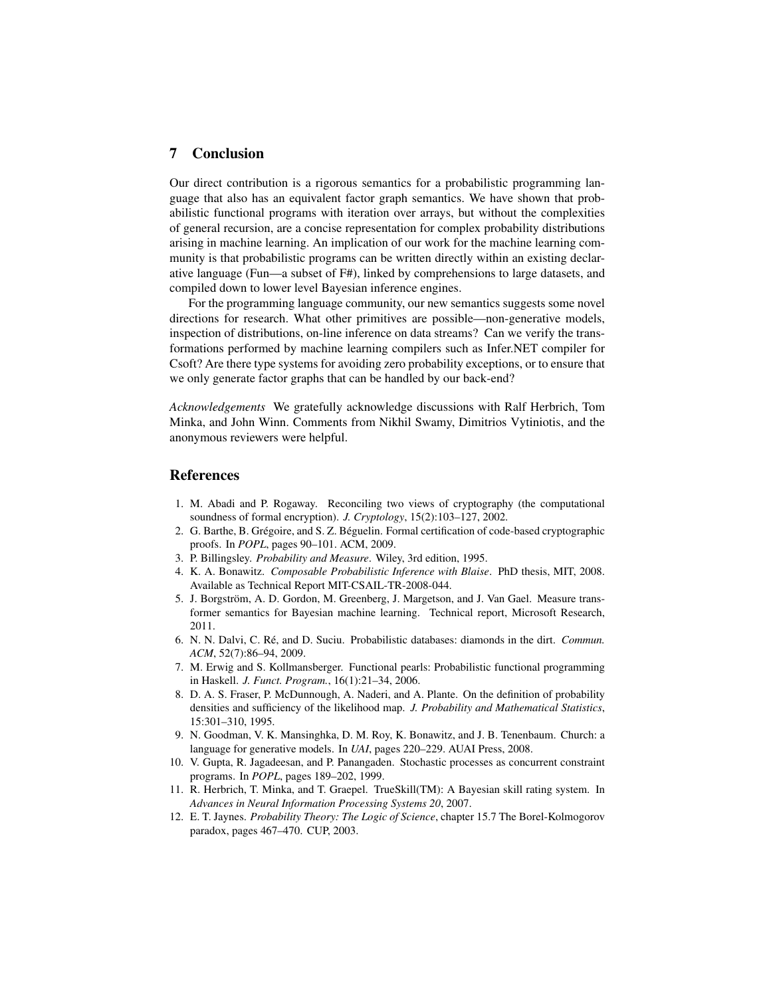# 7 Conclusion

Our direct contribution is a rigorous semantics for a probabilistic programming language that also has an equivalent factor graph semantics. We have shown that probabilistic functional programs with iteration over arrays, but without the complexities of general recursion, are a concise representation for complex probability distributions arising in machine learning. An implication of our work for the machine learning community is that probabilistic programs can be written directly within an existing declarative language (Fun—a subset of F#), linked by comprehensions to large datasets, and compiled down to lower level Bayesian inference engines.

For the programming language community, our new semantics suggests some novel directions for research. What other primitives are possible—non-generative models, inspection of distributions, on-line inference on data streams? Can we verify the transformations performed by machine learning compilers such as Infer.NET compiler for Csoft? Are there type systems for avoiding zero probability exceptions, or to ensure that we only generate factor graphs that can be handled by our back-end?

*Acknowledgements* We gratefully acknowledge discussions with Ralf Herbrich, Tom Minka, and John Winn. Comments from Nikhil Swamy, Dimitrios Vytiniotis, and the anonymous reviewers were helpful.

### References

- 1. M. Abadi and P. Rogaway. Reconciling two views of cryptography (the computational soundness of formal encryption). *J. Cryptology*, 15(2):103–127, 2002.
- 2. G. Barthe, B. Grégoire, and S. Z. Béguelin. Formal certification of code-based cryptographic proofs. In *POPL*, pages 90–101. ACM, 2009.
- 3. P. Billingsley. *Probability and Measure*. Wiley, 3rd edition, 1995.
- 4. K. A. Bonawitz. *Composable Probabilistic Inference with Blaise*. PhD thesis, MIT, 2008. Available as Technical Report MIT-CSAIL-TR-2008-044.
- 5. J. Borgström, A. D. Gordon, M. Greenberg, J. Margetson, and J. Van Gael. Measure transformer semantics for Bayesian machine learning. Technical report, Microsoft Research, 2011.
- 6. N. N. Dalvi, C. Re, and D. Suciu. Probabilistic databases: diamonds in the dirt. ´ *Commun. ACM*, 52(7):86–94, 2009.
- 7. M. Erwig and S. Kollmansberger. Functional pearls: Probabilistic functional programming in Haskell. *J. Funct. Program.*, 16(1):21–34, 2006.
- 8. D. A. S. Fraser, P. McDunnough, A. Naderi, and A. Plante. On the definition of probability densities and sufficiency of the likelihood map. *J. Probability and Mathematical Statistics*, 15:301–310, 1995.
- 9. N. Goodman, V. K. Mansinghka, D. M. Roy, K. Bonawitz, and J. B. Tenenbaum. Church: a language for generative models. In *UAI*, pages 220–229. AUAI Press, 2008.
- 10. V. Gupta, R. Jagadeesan, and P. Panangaden. Stochastic processes as concurrent constraint programs. In *POPL*, pages 189–202, 1999.
- 11. R. Herbrich, T. Minka, and T. Graepel. TrueSkill(TM): A Bayesian skill rating system. In *Advances in Neural Information Processing Systems 20*, 2007.
- 12. E. T. Jaynes. *Probability Theory: The Logic of Science*, chapter 15.7 The Borel-Kolmogorov paradox, pages 467–470. CUP, 2003.